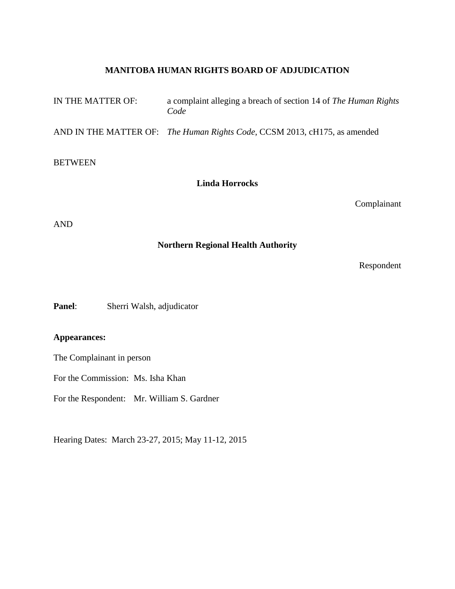# **MANITOBA HUMAN RIGHTS BOARD OF ADJUDICATION**

| IN THE MATTER OF:     | a complaint alleging a breach of section 14 of The Human Rights<br>Code   |
|-----------------------|---------------------------------------------------------------------------|
|                       | AND IN THE MATTER OF: The Human Rights Code, CCSM 2013, cH175, as amended |
| <b>BETWEEN</b>        |                                                                           |
| <b>Linda Horrocks</b> |                                                                           |
|                       | Complainant                                                               |
| AND                   |                                                                           |

**Northern Regional Health Authority**

Respondent

**Panel**: Sherri Walsh, adjudicator

**Appearances:**

The Complainant in person

For the Commission: Ms. Isha Khan

For the Respondent: Mr. William S. Gardner

Hearing Dates: March 23-27, 2015; May 11-12, 2015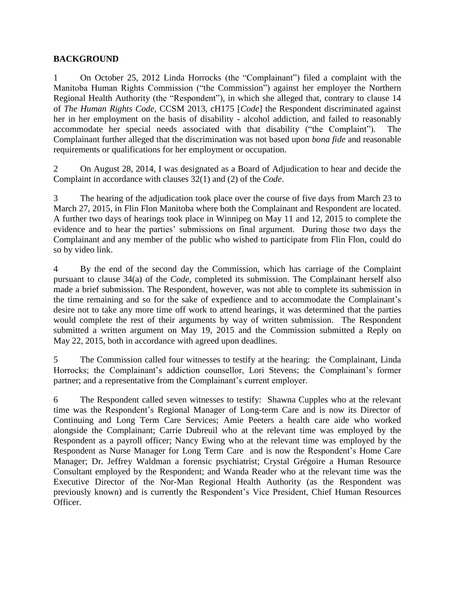## **BACKGROUND**

1 On October 25, 2012 Linda Horrocks (the "Complainant") filed a complaint with the Manitoba Human Rights Commission ("the Commission") against her employer the Northern Regional Health Authority (the "Respondent"), in which she alleged that, contrary to clause 14 of *The Human Rights Code,* CCSM 2013, cH175 [*Code*] the Respondent discriminated against her in her employment on the basis of disability - alcohol addiction, and failed to reasonably accommodate her special needs associated with that disability ("the Complaint"). The Complainant further alleged that the discrimination was not based upon *bona fide* and reasonable requirements or qualifications for her employment or occupation.

2 On August 28, 2014, I was designated as a Board of Adjudication to hear and decide the Complaint in accordance with clauses 32(1) and (2) of the *Code*.

3 The hearing of the adjudication took place over the course of five days from March 23 to March 27, 2015, in Flin Flon Manitoba where both the Complainant and Respondent are located. A further two days of hearings took place in Winnipeg on May 11 and 12, 2015 to complete the evidence and to hear the parties' submissions on final argument. During those two days the Complainant and any member of the public who wished to participate from Flin Flon, could do so by video link.

4 By the end of the second day the Commission, which has carriage of the Complaint pursuant to clause 34(a) of the *Code*, completed its submission. The Complainant herself also made a brief submission. The Respondent, however, was not able to complete its submission in the time remaining and so for the sake of expedience and to accommodate the Complainant's desire not to take any more time off work to attend hearings, it was determined that the parties would complete the rest of their arguments by way of written submission. The Respondent submitted a written argument on May 19, 2015 and the Commission submitted a Reply on May 22, 2015, both in accordance with agreed upon deadlines.

5 The Commission called four witnesses to testify at the hearing: the Complainant, Linda Horrocks; the Complainant's addiction counsellor, Lori Stevens; the Complainant's former partner; and a representative from the Complainant's current employer.

6 The Respondent called seven witnesses to testify: Shawna Cupples who at the relevant time was the Respondent's Regional Manager of Long-term Care and is now its Director of Continuing and Long Term Care Services; Amie Peeters a health care aide who worked alongside the Complainant; Carrie Dubreuil who at the relevant time was employed by the Respondent as a payroll officer; Nancy Ewing who at the relevant time was employed by the Respondent as Nurse Manager for Long Term Care and is now the Respondent's Home Care Manager; Dr. Jeffrey Waldman a forensic psychiatrist; Crystal Grégoire a Human Resource Consultant employed by the Respondent; and Wanda Reader who at the relevant time was the Executive Director of the Nor-Man Regional Health Authority (as the Respondent was previously known) and is currently the Respondent's Vice President, Chief Human Resources Officer.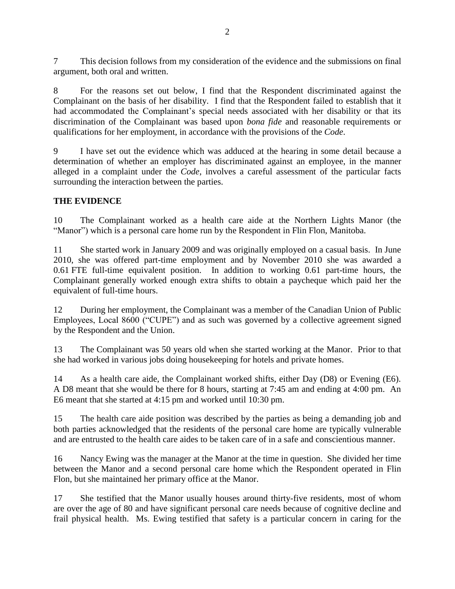7 This decision follows from my consideration of the evidence and the submissions on final argument, both oral and written.

8 For the reasons set out below, I find that the Respondent discriminated against the Complainant on the basis of her disability. I find that the Respondent failed to establish that it had accommodated the Complainant's special needs associated with her disability or that its discrimination of the Complainant was based upon *bona fide* and reasonable requirements or qualifications for her employment, in accordance with the provisions of the *Code*.

9 I have set out the evidence which was adduced at the hearing in some detail because a determination of whether an employer has discriminated against an employee, in the manner alleged in a complaint under the *Code*, involves a careful assessment of the particular facts surrounding the interaction between the parties.

## **THE EVIDENCE**

10 The Complainant worked as a health care aide at the Northern Lights Manor (the "Manor") which is a personal care home run by the Respondent in Flin Flon, Manitoba.

11 She started work in January 2009 and was originally employed on a casual basis. In June 2010, she was offered part-time employment and by November 2010 she was awarded a 0.61 FTE full-time equivalent position. In addition to working 0.61 part-time hours, the Complainant generally worked enough extra shifts to obtain a paycheque which paid her the equivalent of full-time hours.

12 During her employment, the Complainant was a member of the Canadian Union of Public Employees, Local 8600 ("CUPE") and as such was governed by a collective agreement signed by the Respondent and the Union.

13 The Complainant was 50 years old when she started working at the Manor. Prior to that she had worked in various jobs doing housekeeping for hotels and private homes.

14 As a health care aide, the Complainant worked shifts, either Day (D8) or Evening (E6). A D8 meant that she would be there for 8 hours, starting at 7:45 am and ending at 4:00 pm. An E6 meant that she started at 4:15 pm and worked until 10:30 pm.

15 The health care aide position was described by the parties as being a demanding job and both parties acknowledged that the residents of the personal care home are typically vulnerable and are entrusted to the health care aides to be taken care of in a safe and conscientious manner.

16 Nancy Ewing was the manager at the Manor at the time in question. She divided her time between the Manor and a second personal care home which the Respondent operated in Flin Flon, but she maintained her primary office at the Manor.

17 She testified that the Manor usually houses around thirty-five residents, most of whom are over the age of 80 and have significant personal care needs because of cognitive decline and frail physical health. Ms. Ewing testified that safety is a particular concern in caring for the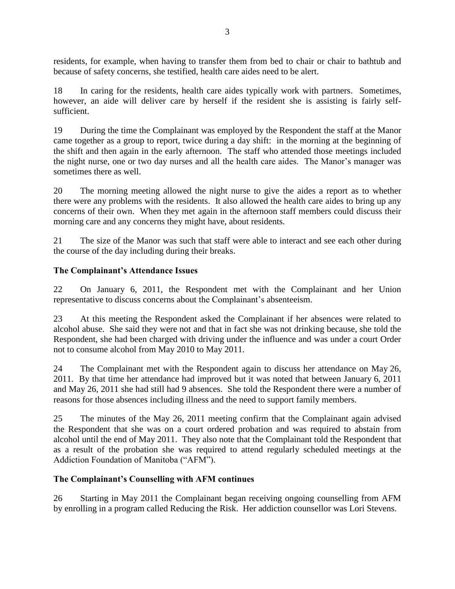residents, for example, when having to transfer them from bed to chair or chair to bathtub and because of safety concerns, she testified, health care aides need to be alert.

18 In caring for the residents, health care aides typically work with partners. Sometimes, however, an aide will deliver care by herself if the resident she is assisting is fairly selfsufficient.

19 During the time the Complainant was employed by the Respondent the staff at the Manor came together as a group to report, twice during a day shift: in the morning at the beginning of the shift and then again in the early afternoon. The staff who attended those meetings included the night nurse, one or two day nurses and all the health care aides. The Manor's manager was sometimes there as well.

20 The morning meeting allowed the night nurse to give the aides a report as to whether there were any problems with the residents. It also allowed the health care aides to bring up any concerns of their own. When they met again in the afternoon staff members could discuss their morning care and any concerns they might have, about residents.

21 The size of the Manor was such that staff were able to interact and see each other during the course of the day including during their breaks.

## **The Complainant's Attendance Issues**

22 On January 6, 2011, the Respondent met with the Complainant and her Union representative to discuss concerns about the Complainant's absenteeism.

23 At this meeting the Respondent asked the Complainant if her absences were related to alcohol abuse. She said they were not and that in fact she was not drinking because, she told the Respondent, she had been charged with driving under the influence and was under a court Order not to consume alcohol from May 2010 to May 2011.

24 The Complainant met with the Respondent again to discuss her attendance on May 26, 2011. By that time her attendance had improved but it was noted that between January 6, 2011 and May 26, 2011 she had still had 9 absences. She told the Respondent there were a number of reasons for those absences including illness and the need to support family members.

25 The minutes of the May 26, 2011 meeting confirm that the Complainant again advised the Respondent that she was on a court ordered probation and was required to abstain from alcohol until the end of May 2011. They also note that the Complainant told the Respondent that as a result of the probation she was required to attend regularly scheduled meetings at the Addiction Foundation of Manitoba ("AFM").

### **The Complainant's Counselling with AFM continues**

26 Starting in May 2011 the Complainant began receiving ongoing counselling from AFM by enrolling in a program called Reducing the Risk. Her addiction counsellor was Lori Stevens.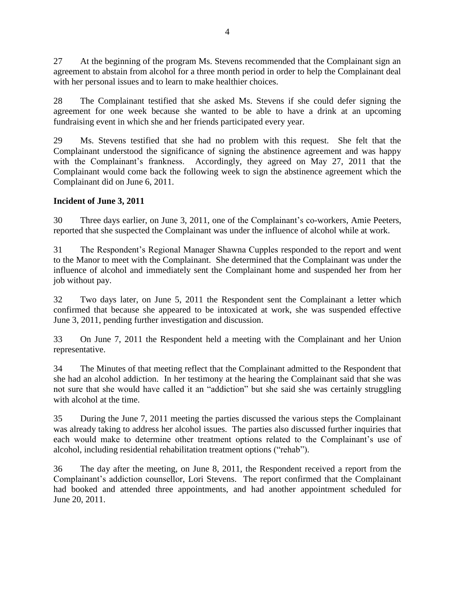27 At the beginning of the program Ms. Stevens recommended that the Complainant sign an agreement to abstain from alcohol for a three month period in order to help the Complainant deal with her personal issues and to learn to make healthier choices.

28 The Complainant testified that she asked Ms. Stevens if she could defer signing the agreement for one week because she wanted to be able to have a drink at an upcoming fundraising event in which she and her friends participated every year.

29 Ms. Stevens testified that she had no problem with this request. She felt that the Complainant understood the significance of signing the abstinence agreement and was happy with the Complainant's frankness. Accordingly, they agreed on May 27, 2011 that the Complainant would come back the following week to sign the abstinence agreement which the Complainant did on June 6, 2011.

## **Incident of June 3, 2011**

30 Three days earlier, on June 3, 2011, one of the Complainant's co-workers, Amie Peeters, reported that she suspected the Complainant was under the influence of alcohol while at work.

31 The Respondent's Regional Manager Shawna Cupples responded to the report and went to the Manor to meet with the Complainant. She determined that the Complainant was under the influence of alcohol and immediately sent the Complainant home and suspended her from her job without pay.

32 Two days later, on June 5, 2011 the Respondent sent the Complainant a letter which confirmed that because she appeared to be intoxicated at work, she was suspended effective June 3, 2011, pending further investigation and discussion.

33 On June 7, 2011 the Respondent held a meeting with the Complainant and her Union representative.

34 The Minutes of that meeting reflect that the Complainant admitted to the Respondent that she had an alcohol addiction. In her testimony at the hearing the Complainant said that she was not sure that she would have called it an "addiction" but she said she was certainly struggling with alcohol at the time.

35 During the June 7, 2011 meeting the parties discussed the various steps the Complainant was already taking to address her alcohol issues. The parties also discussed further inquiries that each would make to determine other treatment options related to the Complainant's use of alcohol, including residential rehabilitation treatment options ("rehab").

36 The day after the meeting, on June 8, 2011, the Respondent received a report from the Complainant's addiction counsellor, Lori Stevens. The report confirmed that the Complainant had booked and attended three appointments, and had another appointment scheduled for June 20, 2011.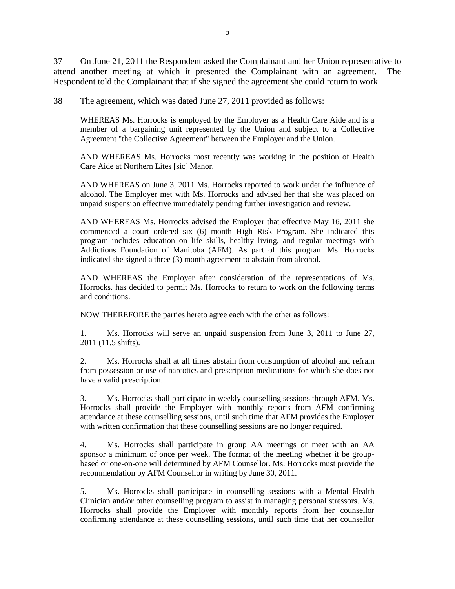37 On June 21, 2011 the Respondent asked the Complainant and her Union representative to attend another meeting at which it presented the Complainant with an agreement. The Respondent told the Complainant that if she signed the agreement she could return to work.

38 The agreement, which was dated June 27, 2011 provided as follows:

WHEREAS Ms. Horrocks is employed by the Employer as a Health Care Aide and is a member of a bargaining unit represented by the Union and subject to a Collective Agreement "the Collective Agreement" between the Employer and the Union.

AND WHEREAS Ms. Horrocks most recently was working in the position of Health Care Aide at Northern Lites [sic] Manor.

AND WHEREAS on June 3, 2011 Ms. Horrocks reported to work under the influence of alcohol. The Employer met with Ms. Horrocks and advised her that she was placed on unpaid suspension effective immediately pending further investigation and review.

AND WHEREAS Ms. Horrocks advised the Employer that effective May 16, 2011 she commenced a court ordered six (6) month High Risk Program. She indicated this program includes education on life skills, healthy living, and regular meetings with Addictions Foundation of Manitoba (AFM). As part of this program Ms. Horrocks indicated she signed a three (3) month agreement to abstain from alcohol.

AND WHEREAS the Employer after consideration of the representations of Ms. Horrocks. has decided to permit Ms. Horrocks to return to work on the following terms and conditions.

NOW THEREFORE the parties hereto agree each with the other as follows:

1. Ms. Horrocks will serve an unpaid suspension from June 3, 2011 to June 27, 2011 (11.5 shifts).

2. Ms. Horrocks shall at all times abstain from consumption of alcohol and refrain from possession or use of narcotics and prescription medications for which she does not have a valid prescription.

3. Ms. Horrocks shall participate in weekly counselling sessions through AFM. Ms. Horrocks shall provide the Employer with monthly reports from AFM confirming attendance at these counselling sessions, until such time that AFM provides the Employer with written confirmation that these counselling sessions are no longer required.

4. Ms. Horrocks shall participate in group AA meetings or meet with an AA sponsor a minimum of once per week. The format of the meeting whether it be groupbased or one-on-one will determined by AFM Counsellor. Ms. Horrocks must provide the recommendation by AFM Counsellor in writing by June 30, 2011.

5. Ms. Horrocks shall participate in counselling sessions with a Mental Health Clinician and/or other counselling program to assist in managing personal stressors. Ms. Horrocks shall provide the Employer with monthly reports from her counsellor confirming attendance at these counselling sessions, until such time that her counsellor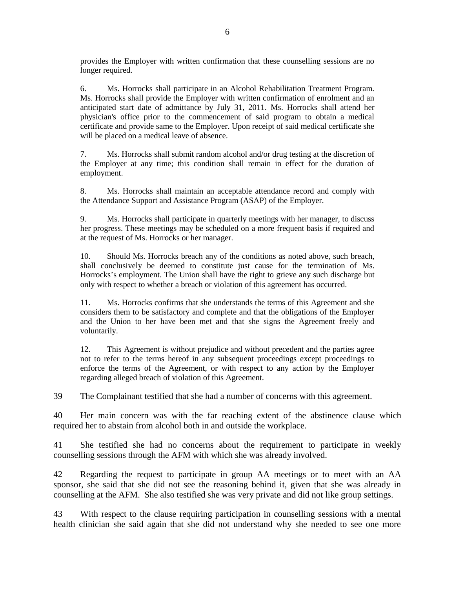provides the Employer with written confirmation that these counselling sessions are no longer required.

6. Ms. Horrocks shall participate in an Alcohol Rehabilitation Treatment Program. Ms. Horrocks shall provide the Employer with written confirmation of enrolment and an anticipated start date of admittance by July 31, 2011. Ms. Horrocks shall attend her physician's office prior to the commencement of said program to obtain a medical certificate and provide same to the Employer. Upon receipt of said medical certificate she will be placed on a medical leave of absence.

7. Ms. Horrocks shall submit random alcohol and/or drug testing at the discretion of the Employer at any time; this condition shall remain in effect for the duration of employment.

8. Ms. Horrocks shall maintain an acceptable attendance record and comply with the Attendance Support and Assistance Program (ASAP) of the Employer.

9. Ms. Horrocks shall participate in quarterly meetings with her manager, to discuss her progress. These meetings may be scheduled on a more frequent basis if required and at the request of Ms. Horrocks or her manager.

10. Should Ms. Horrocks breach any of the conditions as noted above, such breach, shall conclusively be deemed to constitute just cause for the termination of Ms. Horrocks's employment. The Union shall have the right to grieve any such discharge but only with respect to whether a breach or violation of this agreement has occurred.

11. Ms. Horrocks confirms that she understands the terms of this Agreement and she considers them to be satisfactory and complete and that the obligations of the Employer and the Union to her have been met and that she signs the Agreement freely and voluntarily.

12. This Agreement is without prejudice and without precedent and the parties agree not to refer to the terms hereof in any subsequent proceedings except proceedings to enforce the terms of the Agreement, or with respect to any action by the Employer regarding alleged breach of violation of this Agreement.

39 The Complainant testified that she had a number of concerns with this agreement.

40 Her main concern was with the far reaching extent of the abstinence clause which required her to abstain from alcohol both in and outside the workplace.

41 She testified she had no concerns about the requirement to participate in weekly counselling sessions through the AFM with which she was already involved.

42 Regarding the request to participate in group AA meetings or to meet with an AA sponsor, she said that she did not see the reasoning behind it, given that she was already in counselling at the AFM. She also testified she was very private and did not like group settings.

43 With respect to the clause requiring participation in counselling sessions with a mental health clinician she said again that she did not understand why she needed to see one more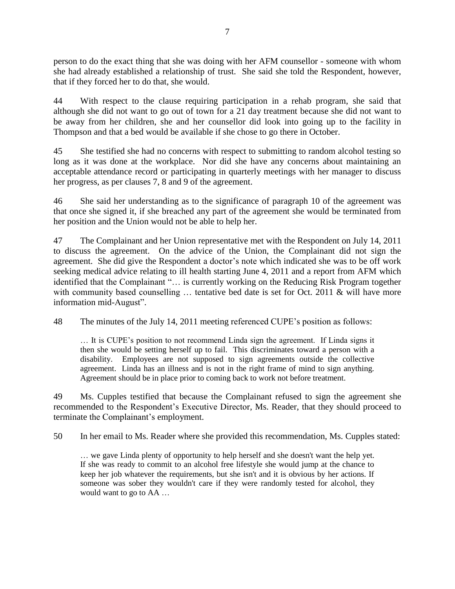person to do the exact thing that she was doing with her AFM counsellor - someone with whom she had already established a relationship of trust. She said she told the Respondent, however, that if they forced her to do that, she would.

44 With respect to the clause requiring participation in a rehab program, she said that although she did not want to go out of town for a 21 day treatment because she did not want to be away from her children, she and her counsellor did look into going up to the facility in Thompson and that a bed would be available if she chose to go there in October.

45 She testified she had no concerns with respect to submitting to random alcohol testing so long as it was done at the workplace. Nor did she have any concerns about maintaining an acceptable attendance record or participating in quarterly meetings with her manager to discuss her progress, as per clauses 7, 8 and 9 of the agreement.

46 She said her understanding as to the significance of paragraph 10 of the agreement was that once she signed it, if she breached any part of the agreement she would be terminated from her position and the Union would not be able to help her.

47 The Complainant and her Union representative met with the Respondent on July 14, 2011 to discuss the agreement. On the advice of the Union, the Complainant did not sign the agreement. She did give the Respondent a doctor's note which indicated she was to be off work seeking medical advice relating to ill health starting June 4, 2011 and a report from AFM which identified that the Complainant "… is currently working on the Reducing Risk Program together with community based counselling ... tentative bed date is set for Oct. 2011 & will have more information mid-August".

48 The minutes of the July 14, 2011 meeting referenced CUPE's position as follows:

… It is CUPE's position to not recommend Linda sign the agreement. If Linda signs it then she would be setting herself up to fail. This discriminates toward a person with a disability. Employees are not supposed to sign agreements outside the collective agreement. Linda has an illness and is not in the right frame of mind to sign anything. Agreement should be in place prior to coming back to work not before treatment.

49 Ms. Cupples testified that because the Complainant refused to sign the agreement she recommended to the Respondent's Executive Director, Ms. Reader, that they should proceed to terminate the Complainant's employment.

50 In her email to Ms. Reader where she provided this recommendation, Ms. Cupples stated:

… we gave Linda plenty of opportunity to help herself and she doesn't want the help yet. If she was ready to commit to an alcohol free lifestyle she would jump at the chance to keep her job whatever the requirements, but she isn't and it is obvious by her actions. If someone was sober they wouldn't care if they were randomly tested for alcohol, they would want to go to AA …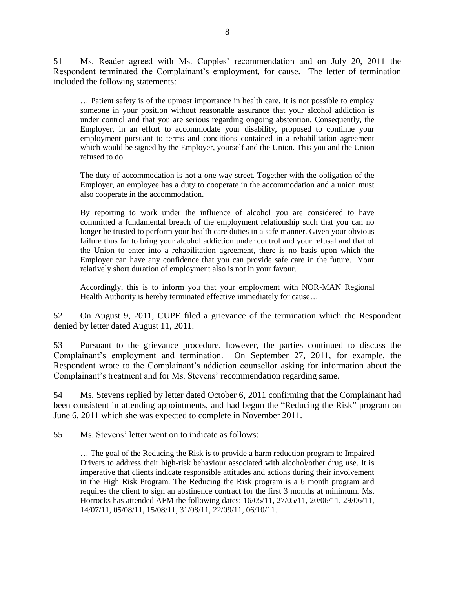51 Ms. Reader agreed with Ms. Cupples' recommendation and on July 20, 2011 the Respondent terminated the Complainant's employment, for cause. The letter of termination included the following statements:

… Patient safety is of the upmost importance in health care. It is not possible to employ someone in your position without reasonable assurance that your alcohol addiction is under control and that you are serious regarding ongoing abstention. Consequently, the Employer, in an effort to accommodate your disability, proposed to continue your employment pursuant to terms and conditions contained in a rehabilitation agreement which would be signed by the Employer, yourself and the Union. This you and the Union refused to do.

The duty of accommodation is not a one way street. Together with the obligation of the Employer, an employee has a duty to cooperate in the accommodation and a union must also cooperate in the accommodation.

By reporting to work under the influence of alcohol you are considered to have committed a fundamental breach of the employment relationship such that you can no longer be trusted to perform your health care duties in a safe manner. Given your obvious failure thus far to bring your alcohol addiction under control and your refusal and that of the Union to enter into a rehabilitation agreement, there is no basis upon which the Employer can have any confidence that you can provide safe care in the future. Your relatively short duration of employment also is not in your favour.

Accordingly, this is to inform you that your employment with NOR-MAN Regional Health Authority is hereby terminated effective immediately for cause…

52 On August 9, 2011, CUPE filed a grievance of the termination which the Respondent denied by letter dated August 11, 2011.

53 Pursuant to the grievance procedure, however, the parties continued to discuss the Complainant's employment and termination. On September 27, 2011, for example, the Respondent wrote to the Complainant's addiction counsellor asking for information about the Complainant's treatment and for Ms. Stevens' recommendation regarding same.

54 Ms. Stevens replied by letter dated October 6, 2011 confirming that the Complainant had been consistent in attending appointments, and had begun the "Reducing the Risk" program on June 6, 2011 which she was expected to complete in November 2011.

55 Ms. Stevens' letter went on to indicate as follows:

… The goal of the Reducing the Risk is to provide a harm reduction program to Impaired Drivers to address their high-risk behaviour associated with alcohol/other drug use. It is imperative that clients indicate responsible attitudes and actions during their involvement in the High Risk Program. The Reducing the Risk program is a 6 month program and requires the client to sign an abstinence contract for the first 3 months at minimum. Ms. Horrocks has attended AFM the following dates: 16/05/11, 27/05/11, 20/06/11, 29/06/11, 14/07/11, 05/08/11, 15/08/11, 31/08/11, 22/09/11, 06/10/11.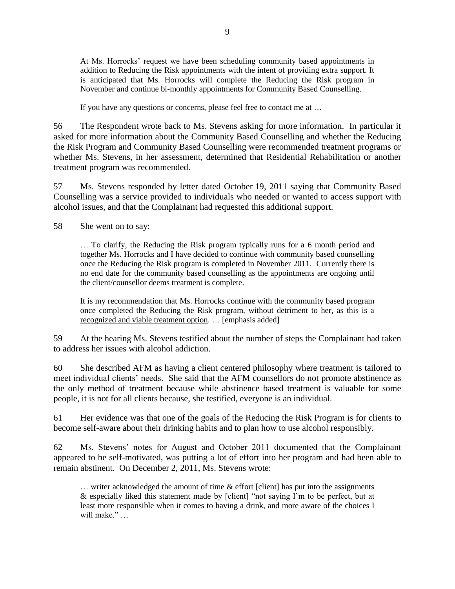At Ms. Horrocks' request we have been scheduling community based appointments in addition to Reducing the Risk appointments with the intent of providing extra support. It is anticipated that Ms. Horrocks will complete the Reducing the Risk program in November and continue bi-monthly appointments for Community Based Counselling.

If you have any questions or concerns, please feel free to contact me at …

56 The Respondent wrote back to Ms. Stevens asking for more information. In particular it asked for more information about the Community Based Counselling and whether the Reducing the Risk Program and Community Based Counselling were recommended treatment programs or whether Ms. Stevens, in her assessment, determined that Residential Rehabilitation or another treatment program was recommended.

57 Ms. Stevens responded by letter dated October 19, 2011 saying that Community Based Counselling was a service provided to individuals who needed or wanted to access support with alcohol issues, and that the Complainant had requested this additional support.

58 She went on to say:

… To clarify, the Reducing the Risk program typically runs for a 6 month period and together Ms. Horrocks and I have decided to continue with community based counselling once the Reducing the Risk program is completed in November 2011. Currently there is no end date for the community based counselling as the appointments are ongoing until the client/counsellor deems treatment is complete.

It is my recommendation that Ms. Horrocks continue with the community based program once completed the Reducing the Risk program, without detriment to her, as this is a recognized and viable treatment option. … [emphasis added]

59 At the hearing Ms. Stevens testified about the number of steps the Complainant had taken to address her issues with alcohol addiction.

60 She described AFM as having a client centered philosophy where treatment is tailored to meet individual clients' needs. She said that the AFM counsellors do not promote abstinence as the only method of treatment because while abstinence based treatment is valuable for some people, it is not for all clients because, she testified, everyone is an individual.

61 Her evidence was that one of the goals of the Reducing the Risk Program is for clients to become self-aware about their drinking habits and to plan how to use alcohol responsibly.

62 Ms. Stevens' notes for August and October 2011 documented that the Complainant appeared to be self-motivated, was putting a lot of effort into her program and had been able to remain abstinent. On December 2, 2011, Ms. Stevens wrote:

… writer acknowledged the amount of time & effort [client] has put into the assignments & especially liked this statement made by [client] "not saying  $\tilde{l}$ " in to be perfect, but at least more responsible when it comes to having a drink, and more aware of the choices I will make." …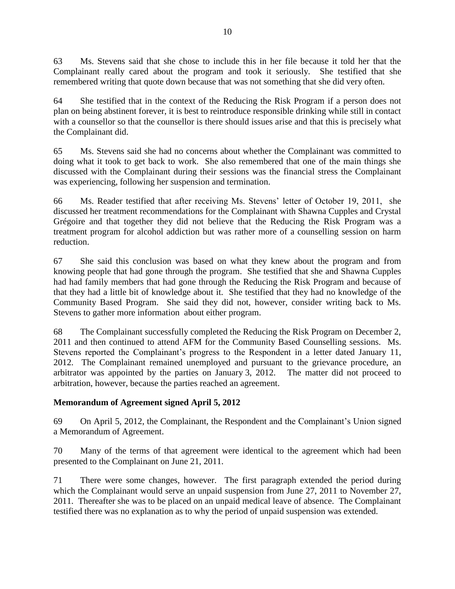63 Ms. Stevens said that she chose to include this in her file because it told her that the Complainant really cared about the program and took it seriously. She testified that she remembered writing that quote down because that was not something that she did very often.

64 She testified that in the context of the Reducing the Risk Program if a person does not plan on being abstinent forever, it is best to reintroduce responsible drinking while still in contact with a counsellor so that the counsellor is there should issues arise and that this is precisely what the Complainant did.

65 Ms. Stevens said she had no concerns about whether the Complainant was committed to doing what it took to get back to work. She also remembered that one of the main things she discussed with the Complainant during their sessions was the financial stress the Complainant was experiencing, following her suspension and termination.

66 Ms. Reader testified that after receiving Ms. Stevens' letter of October 19, 2011, she discussed her treatment recommendations for the Complainant with Shawna Cupples and Crystal Grégoire and that together they did not believe that the Reducing the Risk Program was a treatment program for alcohol addiction but was rather more of a counselling session on harm reduction.

67 She said this conclusion was based on what they knew about the program and from knowing people that had gone through the program. She testified that she and Shawna Cupples had had family members that had gone through the Reducing the Risk Program and because of that they had a little bit of knowledge about it. She testified that they had no knowledge of the Community Based Program. She said they did not, however, consider writing back to Ms. Stevens to gather more information about either program.

68 The Complainant successfully completed the Reducing the Risk Program on December 2, 2011 and then continued to attend AFM for the Community Based Counselling sessions. Ms. Stevens reported the Complainant's progress to the Respondent in a letter dated January 11, 2012. The Complainant remained unemployed and pursuant to the grievance procedure, an arbitrator was appointed by the parties on January 3, 2012. The matter did not proceed to arbitration, however, because the parties reached an agreement.

# **Memorandum of Agreement signed April 5, 2012**

69 On April 5, 2012, the Complainant, the Respondent and the Complainant's Union signed a Memorandum of Agreement.

70 Many of the terms of that agreement were identical to the agreement which had been presented to the Complainant on June 21, 2011.

71 There were some changes, however. The first paragraph extended the period during which the Complainant would serve an unpaid suspension from June 27, 2011 to November 27, 2011. Thereafter she was to be placed on an unpaid medical leave of absence. The Complainant testified there was no explanation as to why the period of unpaid suspension was extended.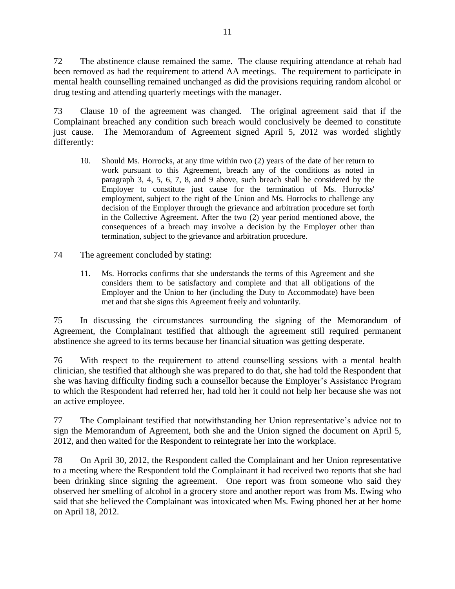72 The abstinence clause remained the same. The clause requiring attendance at rehab had been removed as had the requirement to attend AA meetings. The requirement to participate in mental health counselling remained unchanged as did the provisions requiring random alcohol or drug testing and attending quarterly meetings with the manager.

73 Clause 10 of the agreement was changed. The original agreement said that if the Complainant breached any condition such breach would conclusively be deemed to constitute just cause. The Memorandum of Agreement signed April 5, 2012 was worded slightly differently:

- 10. Should Ms. Horrocks, at any time within two (2) years of the date of her return to work pursuant to this Agreement, breach any of the conditions as noted in paragraph 3, 4, 5, 6, 7, 8, and 9 above, such breach shall be considered by the Employer to constitute just cause for the termination of Ms. Horrocks' employment, subject to the right of the Union and Ms. Horrocks to challenge any decision of the Employer through the grievance and arbitration procedure set forth in the Collective Agreement. After the two (2) year period mentioned above, the consequences of a breach may involve a decision by the Employer other than termination, subject to the grievance and arbitration procedure.
- 74 The agreement concluded by stating:
	- 11. Ms. Horrocks confirms that she understands the terms of this Agreement and she considers them to be satisfactory and complete and that all obligations of the Employer and the Union to her (including the Duty to Accommodate) have been met and that she signs this Agreement freely and voluntarily.

75 In discussing the circumstances surrounding the signing of the Memorandum of Agreement, the Complainant testified that although the agreement still required permanent abstinence she agreed to its terms because her financial situation was getting desperate.

76 With respect to the requirement to attend counselling sessions with a mental health clinician, she testified that although she was prepared to do that, she had told the Respondent that she was having difficulty finding such a counsellor because the Employer's Assistance Program to which the Respondent had referred her, had told her it could not help her because she was not an active employee.

77 The Complainant testified that notwithstanding her Union representative's advice not to sign the Memorandum of Agreement, both she and the Union signed the document on April 5, 2012, and then waited for the Respondent to reintegrate her into the workplace.

78 On April 30, 2012, the Respondent called the Complainant and her Union representative to a meeting where the Respondent told the Complainant it had received two reports that she had been drinking since signing the agreement. One report was from someone who said they observed her smelling of alcohol in a grocery store and another report was from Ms. Ewing who said that she believed the Complainant was intoxicated when Ms. Ewing phoned her at her home on April 18, 2012.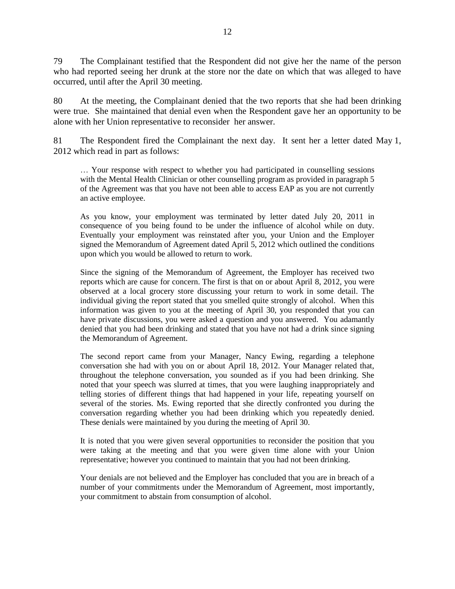79 The Complainant testified that the Respondent did not give her the name of the person who had reported seeing her drunk at the store nor the date on which that was alleged to have occurred, until after the April 30 meeting.

80 At the meeting, the Complainant denied that the two reports that she had been drinking were true. She maintained that denial even when the Respondent gave her an opportunity to be alone with her Union representative to reconsider her answer.

81 The Respondent fired the Complainant the next day. It sent her a letter dated May 1, 2012 which read in part as follows:

… Your response with respect to whether you had participated in counselling sessions with the Mental Health Clinician or other counselling program as provided in paragraph 5 of the Agreement was that you have not been able to access EAP as you are not currently an active employee.

As you know, your employment was terminated by letter dated July 20, 2011 in consequence of you being found to be under the influence of alcohol while on duty. Eventually your employment was reinstated after you, your Union and the Employer signed the Memorandum of Agreement dated April 5, 2012 which outlined the conditions upon which you would be allowed to return to work.

Since the signing of the Memorandum of Agreement, the Employer has received two reports which are cause for concern. The first is that on or about April 8, 2012, you were observed at a local grocery store discussing your return to work in some detail. The individual giving the report stated that you smelled quite strongly of alcohol. When this information was given to you at the meeting of April 30, you responded that you can have private discussions, you were asked a question and you answered. You adamantly denied that you had been drinking and stated that you have not had a drink since signing the Memorandum of Agreement.

The second report came from your Manager, Nancy Ewing, regarding a telephone conversation she had with you on or about April 18, 2012. Your Manager related that, throughout the telephone conversation, you sounded as if you had been drinking. She noted that your speech was slurred at times, that you were laughing inappropriately and telling stories of different things that had happened in your life, repeating yourself on several of the stories. Ms. Ewing reported that she directly confronted you during the conversation regarding whether you had been drinking which you repeatedly denied. These denials were maintained by you during the meeting of April 30.

It is noted that you were given several opportunities to reconsider the position that you were taking at the meeting and that you were given time alone with your Union representative; however you continued to maintain that you had not been drinking.

Your denials are not believed and the Employer has concluded that you are in breach of a number of your commitments under the Memorandum of Agreement, most importantly, your commitment to abstain from consumption of alcohol.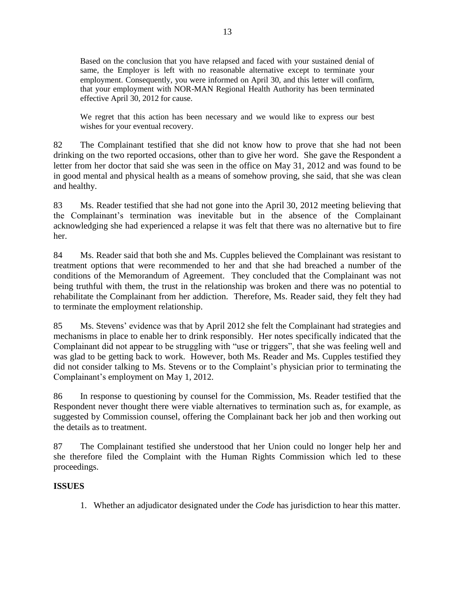Based on the conclusion that you have relapsed and faced with your sustained denial of same, the Employer is left with no reasonable alternative except to terminate your employment. Consequently, you were informed on April 30, and this letter will confirm, that your employment with NOR-MAN Regional Health Authority has been terminated effective April 30, 2012 for cause.

We regret that this action has been necessary and we would like to express our best wishes for your eventual recovery.

82 The Complainant testified that she did not know how to prove that she had not been drinking on the two reported occasions, other than to give her word. She gave the Respondent a letter from her doctor that said she was seen in the office on May 31, 2012 and was found to be in good mental and physical health as a means of somehow proving, she said, that she was clean and healthy.

83 Ms. Reader testified that she had not gone into the April 30, 2012 meeting believing that the Complainant's termination was inevitable but in the absence of the Complainant acknowledging she had experienced a relapse it was felt that there was no alternative but to fire her.

84 Ms. Reader said that both she and Ms. Cupples believed the Complainant was resistant to treatment options that were recommended to her and that she had breached a number of the conditions of the Memorandum of Agreement. They concluded that the Complainant was not being truthful with them, the trust in the relationship was broken and there was no potential to rehabilitate the Complainant from her addiction. Therefore, Ms. Reader said, they felt they had to terminate the employment relationship.

85 Ms. Stevens' evidence was that by April 2012 she felt the Complainant had strategies and mechanisms in place to enable her to drink responsibly. Her notes specifically indicated that the Complainant did not appear to be struggling with "use or triggers", that she was feeling well and was glad to be getting back to work. However, both Ms. Reader and Ms. Cupples testified they did not consider talking to Ms. Stevens or to the Complaint's physician prior to terminating the Complainant's employment on May 1, 2012.

86 In response to questioning by counsel for the Commission, Ms. Reader testified that the Respondent never thought there were viable alternatives to termination such as, for example, as suggested by Commission counsel, offering the Complainant back her job and then working out the details as to treatment.

87 The Complainant testified she understood that her Union could no longer help her and she therefore filed the Complaint with the Human Rights Commission which led to these proceedings.

# **ISSUES**

1. Whether an adjudicator designated under the *Code* has jurisdiction to hear this matter.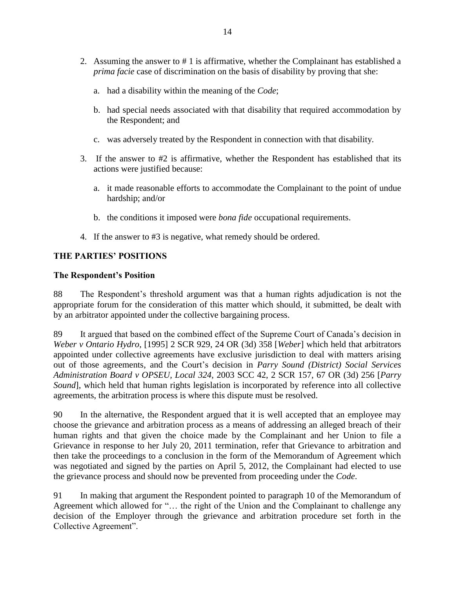- 2. Assuming the answer to # 1 is affirmative, whether the Complainant has established a *prima facie* case of discrimination on the basis of disability by proving that she:
	- a. had a disability within the meaning of the *Code*;
	- b. had special needs associated with that disability that required accommodation by the Respondent; and
	- c. was adversely treated by the Respondent in connection with that disability.
- 3. If the answer to #2 is affirmative, whether the Respondent has established that its actions were justified because:
	- a. it made reasonable efforts to accommodate the Complainant to the point of undue hardship; and/or
	- b. the conditions it imposed were *bona fide* occupational requirements.
- 4. If the answer to #3 is negative, what remedy should be ordered.

## **THE PARTIES' POSITIONS**

### **The Respondent's Position**

88 The Respondent's threshold argument was that a human rights adjudication is not the appropriate forum for the consideration of this matter which should, it submitted, be dealt with by an arbitrator appointed under the collective bargaining process.

89 It argued that based on the combined effect of the Supreme Court of Canada's decision in *Weber v Ontario Hydro*, [1995] 2 SCR 929, 24 OR (3d) 358 [*Weber*] which held that arbitrators appointed under collective agreements have exclusive jurisdiction to deal with matters arising out of those agreements, and the Court's decision in *Parry Sound (District) Social Services Administration Board v OPSEU, Local 324*, 2003 SCC 42, 2 SCR 157, 67 OR (3d) 256 [*Parry Sound*], which held that human rights legislation is incorporated by reference into all collective agreements, the arbitration process is where this dispute must be resolved.

90 In the alternative, the Respondent argued that it is well accepted that an employee may choose the grievance and arbitration process as a means of addressing an alleged breach of their human rights and that given the choice made by the Complainant and her Union to file a Grievance in response to her July 20, 2011 termination, refer that Grievance to arbitration and then take the proceedings to a conclusion in the form of the Memorandum of Agreement which was negotiated and signed by the parties on April 5, 2012, the Complainant had elected to use the grievance process and should now be prevented from proceeding under the *Code*.

91 In making that argument the Respondent pointed to paragraph 10 of the Memorandum of Agreement which allowed for "… the right of the Union and the Complainant to challenge any decision of the Employer through the grievance and arbitration procedure set forth in the Collective Agreement".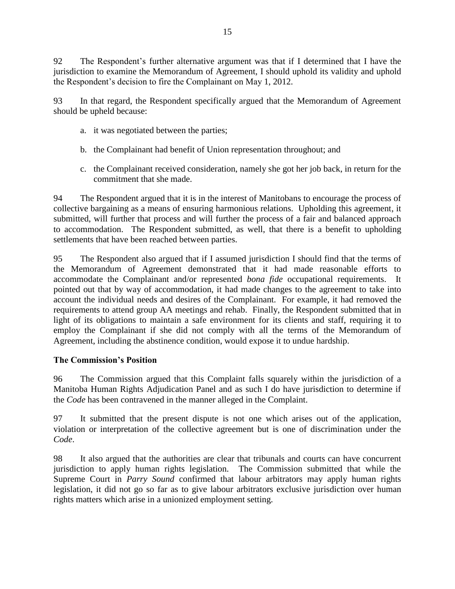92 The Respondent's further alternative argument was that if I determined that I have the jurisdiction to examine the Memorandum of Agreement, I should uphold its validity and uphold the Respondent's decision to fire the Complainant on May 1, 2012.

93 In that regard, the Respondent specifically argued that the Memorandum of Agreement should be upheld because:

- a. it was negotiated between the parties;
- b. the Complainant had benefit of Union representation throughout; and
- c. the Complainant received consideration, namely she got her job back, in return for the commitment that she made.

94 The Respondent argued that it is in the interest of Manitobans to encourage the process of collective bargaining as a means of ensuring harmonious relations. Upholding this agreement, it submitted, will further that process and will further the process of a fair and balanced approach to accommodation. The Respondent submitted, as well, that there is a benefit to upholding settlements that have been reached between parties.

95 The Respondent also argued that if I assumed jurisdiction I should find that the terms of the Memorandum of Agreement demonstrated that it had made reasonable efforts to accommodate the Complainant and/or represented *bona fide* occupational requirements. It pointed out that by way of accommodation, it had made changes to the agreement to take into account the individual needs and desires of the Complainant. For example, it had removed the requirements to attend group AA meetings and rehab. Finally, the Respondent submitted that in light of its obligations to maintain a safe environment for its clients and staff, requiring it to employ the Complainant if she did not comply with all the terms of the Memorandum of Agreement, including the abstinence condition, would expose it to undue hardship.

# **The Commission's Position**

96 The Commission argued that this Complaint falls squarely within the jurisdiction of a Manitoba Human Rights Adjudication Panel and as such I do have jurisdiction to determine if the *Code* has been contravened in the manner alleged in the Complaint.

97 It submitted that the present dispute is not one which arises out of the application, violation or interpretation of the collective agreement but is one of discrimination under the *Code*.

98 It also argued that the authorities are clear that tribunals and courts can have concurrent jurisdiction to apply human rights legislation. The Commission submitted that while the Supreme Court in *Parry Sound* confirmed that labour arbitrators may apply human rights legislation, it did not go so far as to give labour arbitrators exclusive jurisdiction over human rights matters which arise in a unionized employment setting.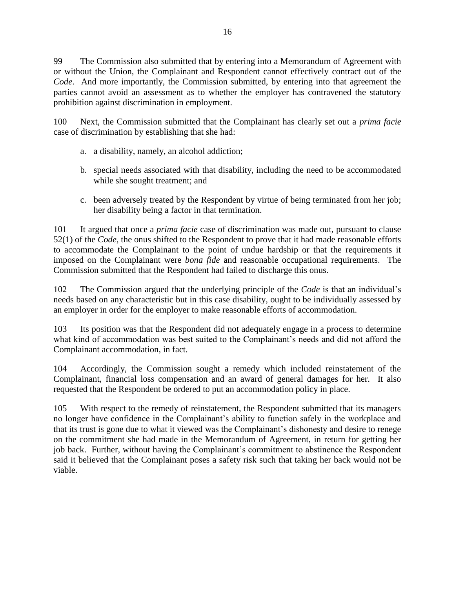99 The Commission also submitted that by entering into a Memorandum of Agreement with or without the Union, the Complainant and Respondent cannot effectively contract out of the *Code*. And more importantly, the Commission submitted, by entering into that agreement the parties cannot avoid an assessment as to whether the employer has contravened the statutory prohibition against discrimination in employment.

100 Next, the Commission submitted that the Complainant has clearly set out a *prima facie* case of discrimination by establishing that she had:

- a. a disability, namely, an alcohol addiction;
- b. special needs associated with that disability, including the need to be accommodated while she sought treatment; and
- c. been adversely treated by the Respondent by virtue of being terminated from her job; her disability being a factor in that termination.

101 It argued that once a *prima facie* case of discrimination was made out, pursuant to clause 52(1) of the *Code*, the onus shifted to the Respondent to prove that it had made reasonable efforts to accommodate the Complainant to the point of undue hardship or that the requirements it imposed on the Complainant were *bona fide* and reasonable occupational requirements. The Commission submitted that the Respondent had failed to discharge this onus.

102 The Commission argued that the underlying principle of the *Code* is that an individual's needs based on any characteristic but in this case disability, ought to be individually assessed by an employer in order for the employer to make reasonable efforts of accommodation.

103 Its position was that the Respondent did not adequately engage in a process to determine what kind of accommodation was best suited to the Complainant's needs and did not afford the Complainant accommodation, in fact.

104 Accordingly, the Commission sought a remedy which included reinstatement of the Complainant, financial loss compensation and an award of general damages for her. It also requested that the Respondent be ordered to put an accommodation policy in place.

105 With respect to the remedy of reinstatement, the Respondent submitted that its managers no longer have confidence in the Complainant's ability to function safely in the workplace and that its trust is gone due to what it viewed was the Complainant's dishonesty and desire to renege on the commitment she had made in the Memorandum of Agreement, in return for getting her job back. Further, without having the Complainant's commitment to abstinence the Respondent said it believed that the Complainant poses a safety risk such that taking her back would not be viable.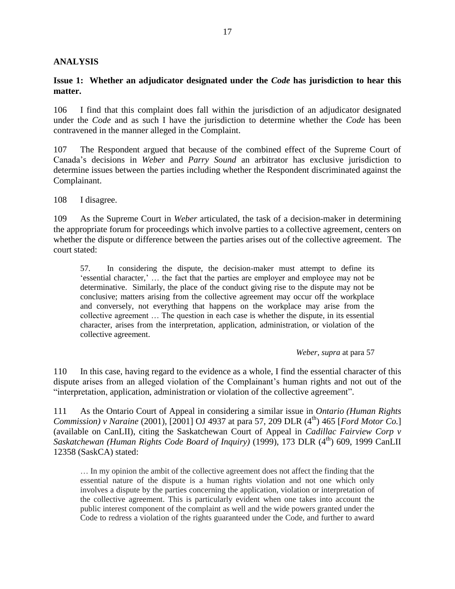## **ANALYSIS**

### **Issue 1: Whether an adjudicator designated under the** *Code* **has jurisdiction to hear this matter.**

106 I find that this complaint does fall within the jurisdiction of an adjudicator designated under the *Code* and as such I have the jurisdiction to determine whether the *Code* has been contravened in the manner alleged in the Complaint.

107 The Respondent argued that because of the combined effect of the Supreme Court of Canada's decisions in *Weber* and *Parry Sound* an arbitrator has exclusive jurisdiction to determine issues between the parties including whether the Respondent discriminated against the Complainant.

108 I disagree.

109 As the Supreme Court in *Weber* articulated, the task of a decision-maker in determining the appropriate forum for proceedings which involve parties to a collective agreement, centers on whether the dispute or difference between the parties arises out of the collective agreement. The court stated:

57. In considering the dispute, the decision-maker must attempt to define its 'essential character,' … the fact that the parties are employer and employee may not be determinative. Similarly, the place of the conduct giving rise to the dispute may not be conclusive; matters arising from the collective agreement may occur off the workplace and conversely, not everything that happens on the workplace may arise from the collective agreement … The question in each case is whether the dispute, in its essential character, arises from the interpretation, application, administration, or violation of the collective agreement.

*Weber*, *supra* at para 57

110 In this case, having regard to the evidence as a whole, I find the essential character of this dispute arises from an alleged violation of the Complainant's human rights and not out of the "interpretation, application, administration or violation of the collective agreement".

111 As the Ontario Court of Appeal in considering a similar issue in *Ontario (Human Rights Commission) v Naraine* (2001), [2001] OJ 4937 at para 57, 209 DLR (4<sup>th</sup>) 465 [*Ford Motor Co.*] (available on CanLII), citing the Saskatchewan Court of Appeal in *Cadillac Fairview Corp v Saskatchewan (Human Rights Code Board of Inquiry)* (1999), 173 DLR (4<sup>th</sup>) 609, 1999 CanLII 12358 (SaskCA) stated:

… In my opinion the ambit of the collective agreement does not affect the finding that the essential nature of the dispute is a human rights violation and not one which only involves a dispute by the parties concerning the application, violation or interpretation of the collective agreement. This is particularly evident when one takes into account the public interest component of the complaint as well and the wide powers granted under the Code to redress a violation of the rights guaranteed under the Code, and further to award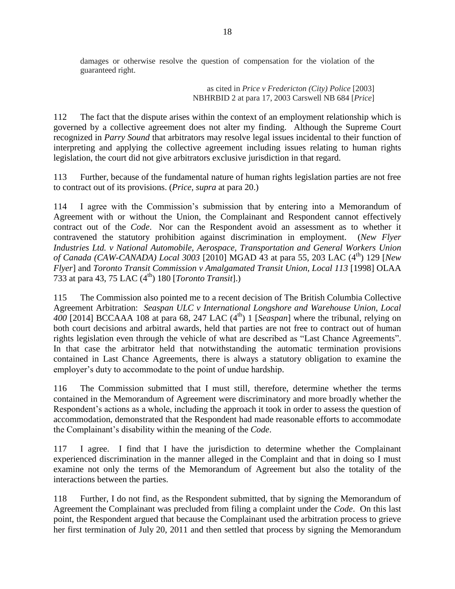damages or otherwise resolve the question of compensation for the violation of the guaranteed right.

> as cited in *Price v Fredericton (City) Police* [2003] NBHRBID 2 at para 17, 2003 Carswell NB 684 [*Price*]

112 The fact that the dispute arises within the context of an employment relationship which is governed by a collective agreement does not alter my finding. Although the Supreme Court recognized in *Parry Sound* that arbitrators may resolve legal issues incidental to their function of interpreting and applying the collective agreement including issues relating to human rights legislation, the court did not give arbitrators exclusive jurisdiction in that regard.

113 Further, because of the fundamental nature of human rights legislation parties are not free to contract out of its provisions. (*Price, supra* at para 20.)

114 I agree with the Commission's submission that by entering into a Memorandum of Agreement with or without the Union, the Complainant and Respondent cannot effectively contract out of the *Code*. Nor can the Respondent avoid an assessment as to whether it contravened the statutory prohibition against discrimination in employment. (*New Flyer Industries Ltd. v National Automobile, Aerospace, Transportation and General Workers Union of Canada (CAW-CANADA) Local 3003* [2010] MGAD 43 at para 55, 203 LAC (4<sup>th</sup>) 129 [*New Flyer*] and *Toronto Transit Commission v Amalgamated Transit Union, Local 113* [1998] OLAA 733 at para 43, 75 LAC  $(4^{th})$  180 [*Toronto Transit*].)

115 The Commission also pointed me to a recent decision of The British Columbia Collective Agreement Arbitration: *Seaspan ULC v International Longshore and Warehouse Union, Local*  400<sup>[2014]</sup> BCCAAA 108 at para 68, 247 LAC (4<sup>th</sup>) 1 [*Seaspan*] where the tribunal, relying on both court decisions and arbitral awards, held that parties are not free to contract out of human rights legislation even through the vehicle of what are described as "Last Chance Agreements". In that case the arbitrator held that notwithstanding the automatic termination provisions contained in Last Chance Agreements, there is always a statutory obligation to examine the employer's duty to accommodate to the point of undue hardship.

116 The Commission submitted that I must still, therefore, determine whether the terms contained in the Memorandum of Agreement were discriminatory and more broadly whether the Respondent's actions as a whole, including the approach it took in order to assess the question of accommodation, demonstrated that the Respondent had made reasonable efforts to accommodate the Complainant's disability within the meaning of the *Code*.

117 I agree. I find that I have the jurisdiction to determine whether the Complainant experienced discrimination in the manner alleged in the Complaint and that in doing so I must examine not only the terms of the Memorandum of Agreement but also the totality of the interactions between the parties.

118 Further, I do not find, as the Respondent submitted, that by signing the Memorandum of Agreement the Complainant was precluded from filing a complaint under the *Code*. On this last point, the Respondent argued that because the Complainant used the arbitration process to grieve her first termination of July 20, 2011 and then settled that process by signing the Memorandum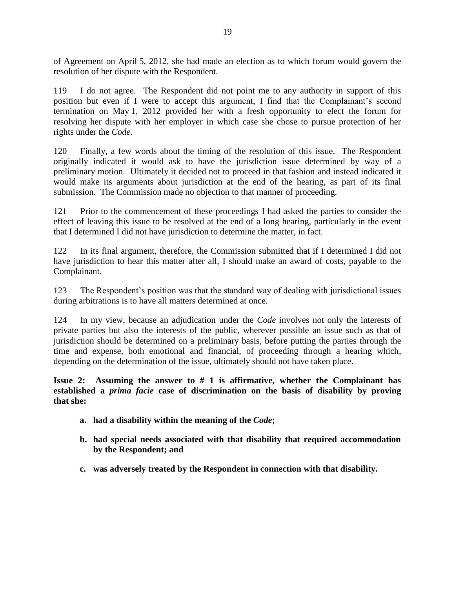of Agreement on April 5, 2012, she had made an election as to which forum would govern the resolution of her dispute with the Respondent.

119 I do not agree. The Respondent did not point me to any authority in support of this position but even if I were to accept this argument, I find that the Complainant's second termination on May 1, 2012 provided her with a fresh opportunity to elect the forum for resolving her dispute with her employer in which case she chose to pursue protection of her rights under the *Code*.

120 Finally, a few words about the timing of the resolution of this issue. The Respondent originally indicated it would ask to have the jurisdiction issue determined by way of a preliminary motion. Ultimately it decided not to proceed in that fashion and instead indicated it would make its arguments about jurisdiction at the end of the hearing, as part of its final submission. The Commission made no objection to that manner of proceeding.

121 Prior to the commencement of these proceedings I had asked the parties to consider the effect of leaving this issue to be resolved at the end of a long hearing, particularly in the event that I determined I did not have jurisdiction to determine the matter, in fact.

122 In its final argument, therefore, the Commission submitted that if I determined I did not have jurisdiction to hear this matter after all, I should make an award of costs, payable to the Complainant.

123 The Respondent's position was that the standard way of dealing with jurisdictional issues during arbitrations is to have all matters determined at once.

124 In my view, because an adjudication under the *Code* involves not only the interests of private parties but also the interests of the public, wherever possible an issue such as that of jurisdiction should be determined on a preliminary basis, before putting the parties through the time and expense, both emotional and financial, of proceeding through a hearing which, depending on the determination of the issue, ultimately should not have taken place.

**Issue 2: Assuming the answer to # 1 is affirmative, whether the Complainant has established a** *prima facie* **case of discrimination on the basis of disability by proving that she:** 

- **a. had a disability within the meaning of the** *Code***;**
- **b. had special needs associated with that disability that required accommodation by the Respondent; and**
- **c. was adversely treated by the Respondent in connection with that disability.**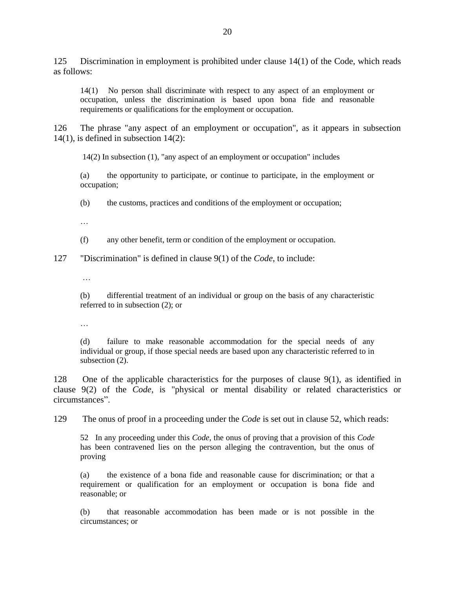125 Discrimination in employment is prohibited under clause 14(1) of the Code, which reads as follows:

14(1) No person shall discriminate with respect to any aspect of an employment or occupation, unless the discrimination is based upon bona fide and reasonable requirements or qualifications for the employment or occupation.

126 The phrase "any aspect of an employment or occupation", as it appears in subsection  $14(1)$ , is defined in subsection  $14(2)$ :

14(2) In subsection (1), "any aspect of an employment or occupation" includes

(a) the opportunity to participate, or continue to participate, in the employment or occupation;

(b) the customs, practices and conditions of the employment or occupation;

…

(f) any other benefit, term or condition of the employment or occupation.

127 "Discrimination" is defined in clause 9(1) of the *Code*, to include:

…

(b) differential treatment of an individual or group on the basis of any characteristic referred to in subsection (2); or

…

(d) failure to make reasonable accommodation for the special needs of any individual or group, if those special needs are based upon any characteristic referred to in subsection  $(2)$ .

128 One of the applicable characteristics for the purposes of clause 9(1), as identified in clause 9(2) of the *Code*, is "physical or mental disability or related characteristics or circumstances".

129 The onus of proof in a proceeding under the *Code* is set out in clause 52*,* which reads:

52 In any proceeding under this *Code*, the onus of proving that a provision of this *Code* has been contravened lies on the person alleging the contravention, but the onus of proving

(a) the existence of a bona fide and reasonable cause for discrimination; or that a requirement or qualification for an employment or occupation is bona fide and reasonable; or

(b) that reasonable accommodation has been made or is not possible in the circumstances; or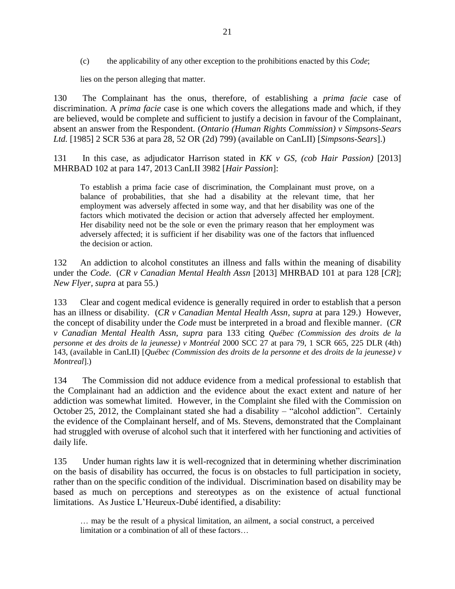(c) the applicability of any other exception to the prohibitions enacted by this *Code*;

lies on the person alleging that matter.

130 The Complainant has the onus, therefore, of establishing a *prima facie* case of discrimination. A *prima facie* case is one which covers the allegations made and which, if they are believed, would be complete and sufficient to justify a decision in favour of the Complainant, absent an answer from the Respondent. (*Ontario (Human Rights Commission) v Simpsons-Sears Ltd.* [1985] 2 SCR 536 at para 28, 52 OR (2d) 799) (available on CanLII) [*Simpsons-Sears*].)

131 In this case, as adjudicator Harrison stated in *KK v GS, (cob Hair Passion)* [2013] MHRBAD 102 at para 147, 2013 CanLII 3982 [*Hair Passion*]:

To establish a prima facie case of discrimination, the Complainant must prove, on a balance of probabilities, that she had a disability at the relevant time, that her employment was adversely affected in some way, and that her disability was one of the factors which motivated the decision or action that adversely affected her employment. Her disability need not be the sole or even the primary reason that her employment was adversely affected; it is sufficient if her disability was one of the factors that influenced the decision or action.

132 An addiction to alcohol constitutes an illness and falls within the meaning of disability under the *Code*. (*CR v Canadian Mental Health Assn* [2013] MHRBAD 101 at para 128 [*CR*]; *New Flyer, supra* at para 55.)

133 Clear and cogent medical evidence is generally required in order to establish that a person has an illness or disability. (*CR v Canadian Mental Health Assn, supra* at para 129.) However, the concept of disability under the *Code* must be interpreted in a broad and flexible manner. (*CR v Canadian Mental Health Assn, supra* para 133 citing *Québec (Commission des droits de la personne et des droits de la jeunesse) v Montréal* 2000 SCC 27 at para 79, 1 SCR 665, 225 DLR (4th) 143, (available in CanLII) [*Québec (Commission des droits de la personne et des droits de la jeunesse) v Montreal*].)

134 The Commission did not adduce evidence from a medical professional to establish that the Complainant had an addiction and the evidence about the exact extent and nature of her addiction was somewhat limited. However, in the Complaint she filed with the Commission on October 25, 2012, the Complainant stated she had a disability – "alcohol addiction". Certainly the evidence of the Complainant herself, and of Ms. Stevens, demonstrated that the Complainant had struggled with overuse of alcohol such that it interfered with her functioning and activities of daily life.

135 Under human rights law it is well-recognized that in determining whether discrimination on the basis of disability has occurred, the focus is on obstacles to full participation in society, rather than on the specific condition of the individual. Discrimination based on disability may be based as much on perceptions and stereotypes as on the existence of actual functional limitations. As Justice L'Heureux-Dubé identified, a disability:

… may be the result of a physical limitation, an ailment, a social construct, a perceived limitation or a combination of all of these factors…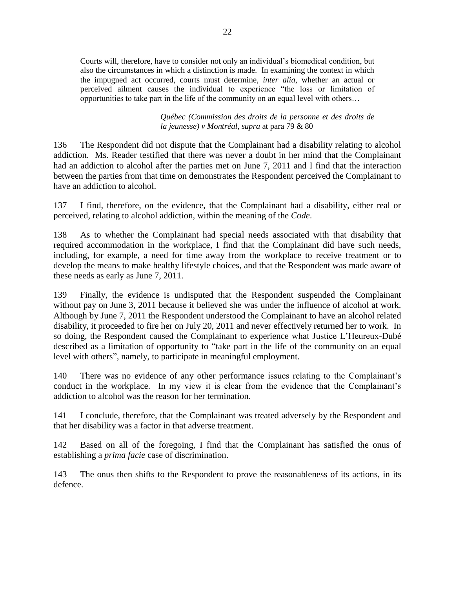Courts will, therefore, have to consider not only an individual's biomedical condition, but also the circumstances in which a distinction is made. In examining the context in which the impugned act occurred, courts must determine, *inter alia*, whether an actual or perceived ailment causes the individual to experience "the loss or limitation of opportunities to take part in the life of the community on an equal level with others…

> *Québec (Commission des droits de la personne et des droits de la jeunesse) v Montréal, supra* at para 79 & 80

136 The Respondent did not dispute that the Complainant had a disability relating to alcohol addiction. Ms. Reader testified that there was never a doubt in her mind that the Complainant had an addiction to alcohol after the parties met on June 7, 2011 and I find that the interaction between the parties from that time on demonstrates the Respondent perceived the Complainant to have an addiction to alcohol.

137 I find, therefore, on the evidence, that the Complainant had a disability, either real or perceived, relating to alcohol addiction, within the meaning of the *Code*.

138 As to whether the Complainant had special needs associated with that disability that required accommodation in the workplace, I find that the Complainant did have such needs, including, for example, a need for time away from the workplace to receive treatment or to develop the means to make healthy lifestyle choices, and that the Respondent was made aware of these needs as early as June 7, 2011.

139 Finally, the evidence is undisputed that the Respondent suspended the Complainant without pay on June 3, 2011 because it believed she was under the influence of alcohol at work. Although by June 7, 2011 the Respondent understood the Complainant to have an alcohol related disability, it proceeded to fire her on July 20, 2011 and never effectively returned her to work. In so doing, the Respondent caused the Complainant to experience what Justice L'Heureux-Dubé described as a limitation of opportunity to "take part in the life of the community on an equal level with others", namely, to participate in meaningful employment.

140 There was no evidence of any other performance issues relating to the Complainant's conduct in the workplace. In my view it is clear from the evidence that the Complainant's addiction to alcohol was the reason for her termination.

141 I conclude, therefore, that the Complainant was treated adversely by the Respondent and that her disability was a factor in that adverse treatment.

142 Based on all of the foregoing, I find that the Complainant has satisfied the onus of establishing a *prima facie* case of discrimination.

143 The onus then shifts to the Respondent to prove the reasonableness of its actions, in its defence.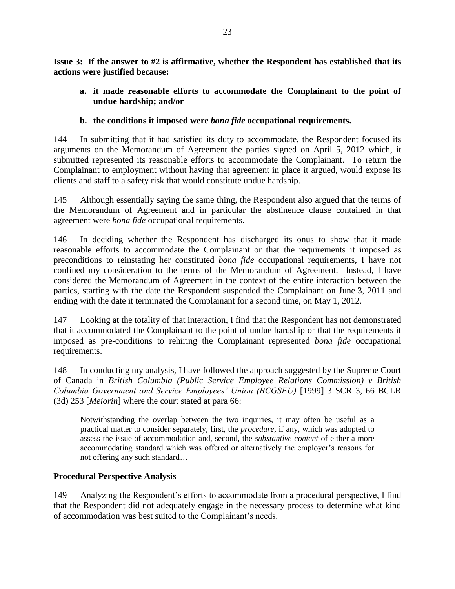**Issue 3: If the answer to #2 is affirmative, whether the Respondent has established that its actions were justified because:**

**a. it made reasonable efforts to accommodate the Complainant to the point of undue hardship; and/or**

# **b. the conditions it imposed were** *bona fide* **occupational requirements.**

144 In submitting that it had satisfied its duty to accommodate, the Respondent focused its arguments on the Memorandum of Agreement the parties signed on April 5, 2012 which, it submitted represented its reasonable efforts to accommodate the Complainant. To return the Complainant to employment without having that agreement in place it argued, would expose its clients and staff to a safety risk that would constitute undue hardship.

145 Although essentially saying the same thing, the Respondent also argued that the terms of the Memorandum of Agreement and in particular the abstinence clause contained in that agreement were *bona fide* occupational requirements.

146 In deciding whether the Respondent has discharged its onus to show that it made reasonable efforts to accommodate the Complainant or that the requirements it imposed as preconditions to reinstating her constituted *bona fide* occupational requirements, I have not confined my consideration to the terms of the Memorandum of Agreement. Instead, I have considered the Memorandum of Agreement in the context of the entire interaction between the parties, starting with the date the Respondent suspended the Complainant on June 3, 2011 and ending with the date it terminated the Complainant for a second time, on May 1, 2012.

147 Looking at the totality of that interaction, I find that the Respondent has not demonstrated that it accommodated the Complainant to the point of undue hardship or that the requirements it imposed as pre-conditions to rehiring the Complainant represented *bona fide* occupational requirements.

148 In conducting my analysis, I have followed the approach suggested by the Supreme Court of Canada in *British Columbia (Public Service Employee Relations Commission) v British Columbia Government and Service Employees' Union (BCGSEU)* [1999] 3 SCR 3, 66 BCLR (3d) 253 [*Meiorin*] where the court stated at para 66:

Notwithstanding the overlap between the two inquiries, it may often be useful as a practical matter to consider separately, first, the *procedure*, if any, which was adopted to assess the issue of accommodation and, second, the *substantive content* of either a more accommodating standard which was offered or alternatively the employer's reasons for not offering any such standard…

# **Procedural Perspective Analysis**

149 Analyzing the Respondent's efforts to accommodate from a procedural perspective, I find that the Respondent did not adequately engage in the necessary process to determine what kind of accommodation was best suited to the Complainant's needs.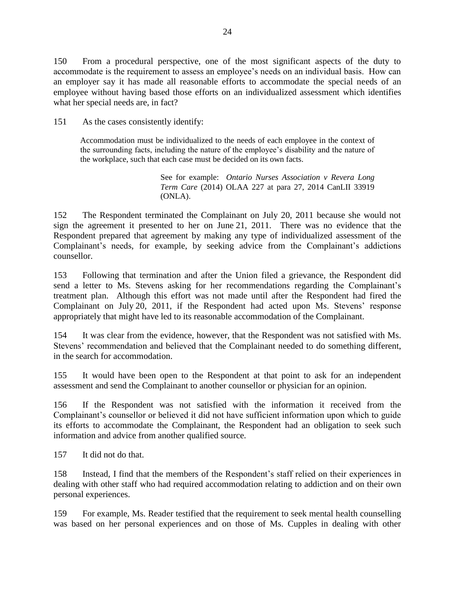150 From a procedural perspective, one of the most significant aspects of the duty to accommodate is the requirement to assess an employee's needs on an individual basis. How can an employer say it has made all reasonable efforts to accommodate the special needs of an employee without having based those efforts on an individualized assessment which identifies what her special needs are, in fact?

151 As the cases consistently identify:

Accommodation must be individualized to the needs of each employee in the context of the surrounding facts, including the nature of the employee's disability and the nature of the workplace, such that each case must be decided on its own facts.

> See for example: *Ontario Nurses Association v Revera Long Term Care* (2014) OLAA 227 at para 27, 2014 CanLII 33919 (ONLA).

152 The Respondent terminated the Complainant on July 20, 2011 because she would not sign the agreement it presented to her on June 21, 2011. There was no evidence that the Respondent prepared that agreement by making any type of individualized assessment of the Complainant's needs, for example, by seeking advice from the Complainant's addictions counsellor.

153 Following that termination and after the Union filed a grievance, the Respondent did send a letter to Ms. Stevens asking for her recommendations regarding the Complainant's treatment plan. Although this effort was not made until after the Respondent had fired the Complainant on July 20, 2011, if the Respondent had acted upon Ms. Stevens' response appropriately that might have led to its reasonable accommodation of the Complainant.

154 It was clear from the evidence, however, that the Respondent was not satisfied with Ms. Stevens' recommendation and believed that the Complainant needed to do something different, in the search for accommodation.

155 It would have been open to the Respondent at that point to ask for an independent assessment and send the Complainant to another counsellor or physician for an opinion.

156 If the Respondent was not satisfied with the information it received from the Complainant's counsellor or believed it did not have sufficient information upon which to guide its efforts to accommodate the Complainant, the Respondent had an obligation to seek such information and advice from another qualified source.

157 It did not do that.

158 Instead, I find that the members of the Respondent's staff relied on their experiences in dealing with other staff who had required accommodation relating to addiction and on their own personal experiences.

159 For example, Ms. Reader testified that the requirement to seek mental health counselling was based on her personal experiences and on those of Ms. Cupples in dealing with other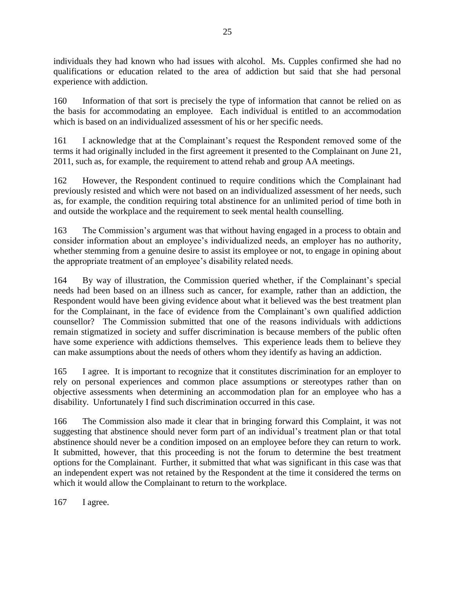individuals they had known who had issues with alcohol. Ms. Cupples confirmed she had no qualifications or education related to the area of addiction but said that she had personal experience with addiction.

160 Information of that sort is precisely the type of information that cannot be relied on as the basis for accommodating an employee. Each individual is entitled to an accommodation which is based on an individualized assessment of his or her specific needs.

161 I acknowledge that at the Complainant's request the Respondent removed some of the terms it had originally included in the first agreement it presented to the Complainant on June 21, 2011, such as, for example, the requirement to attend rehab and group AA meetings.

162 However, the Respondent continued to require conditions which the Complainant had previously resisted and which were not based on an individualized assessment of her needs, such as, for example, the condition requiring total abstinence for an unlimited period of time both in and outside the workplace and the requirement to seek mental health counselling.

163 The Commission's argument was that without having engaged in a process to obtain and consider information about an employee's individualized needs, an employer has no authority, whether stemming from a genuine desire to assist its employee or not, to engage in opining about the appropriate treatment of an employee's disability related needs.

164 By way of illustration, the Commission queried whether, if the Complainant's special needs had been based on an illness such as cancer, for example, rather than an addiction, the Respondent would have been giving evidence about what it believed was the best treatment plan for the Complainant, in the face of evidence from the Complainant's own qualified addiction counsellor? The Commission submitted that one of the reasons individuals with addictions remain stigmatized in society and suffer discrimination is because members of the public often have some experience with addictions themselves. This experience leads them to believe they can make assumptions about the needs of others whom they identify as having an addiction.

165 I agree. It is important to recognize that it constitutes discrimination for an employer to rely on personal experiences and common place assumptions or stereotypes rather than on objective assessments when determining an accommodation plan for an employee who has a disability. Unfortunately I find such discrimination occurred in this case.

166 The Commission also made it clear that in bringing forward this Complaint, it was not suggesting that abstinence should never form part of an individual's treatment plan or that total abstinence should never be a condition imposed on an employee before they can return to work. It submitted, however, that this proceeding is not the forum to determine the best treatment options for the Complainant. Further, it submitted that what was significant in this case was that an independent expert was not retained by the Respondent at the time it considered the terms on which it would allow the Complainant to return to the workplace.

167 I agree.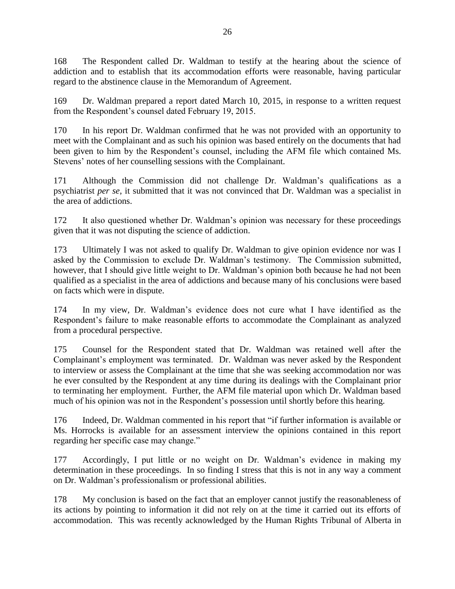168 The Respondent called Dr. Waldman to testify at the hearing about the science of addiction and to establish that its accommodation efforts were reasonable, having particular regard to the abstinence clause in the Memorandum of Agreement.

169 Dr. Waldman prepared a report dated March 10, 2015, in response to a written request from the Respondent's counsel dated February 19, 2015.

170 In his report Dr. Waldman confirmed that he was not provided with an opportunity to meet with the Complainant and as such his opinion was based entirely on the documents that had been given to him by the Respondent's counsel, including the AFM file which contained Ms. Stevens' notes of her counselling sessions with the Complainant.

171 Although the Commission did not challenge Dr. Waldman's qualifications as a psychiatrist *per se*, it submitted that it was not convinced that Dr. Waldman was a specialist in the area of addictions.

172 It also questioned whether Dr. Waldman's opinion was necessary for these proceedings given that it was not disputing the science of addiction.

173 Ultimately I was not asked to qualify Dr. Waldman to give opinion evidence nor was I asked by the Commission to exclude Dr. Waldman's testimony. The Commission submitted, however, that I should give little weight to Dr. Waldman's opinion both because he had not been qualified as a specialist in the area of addictions and because many of his conclusions were based on facts which were in dispute.

174 In my view, Dr. Waldman's evidence does not cure what I have identified as the Respondent's failure to make reasonable efforts to accommodate the Complainant as analyzed from a procedural perspective.

175 Counsel for the Respondent stated that Dr. Waldman was retained well after the Complainant's employment was terminated. Dr. Waldman was never asked by the Respondent to interview or assess the Complainant at the time that she was seeking accommodation nor was he ever consulted by the Respondent at any time during its dealings with the Complainant prior to terminating her employment. Further, the AFM file material upon which Dr. Waldman based much of his opinion was not in the Respondent's possession until shortly before this hearing.

176 Indeed, Dr. Waldman commented in his report that "if further information is available or Ms. Horrocks is available for an assessment interview the opinions contained in this report regarding her specific case may change."

177 Accordingly, I put little or no weight on Dr. Waldman's evidence in making my determination in these proceedings. In so finding I stress that this is not in any way a comment on Dr. Waldman's professionalism or professional abilities.

178 My conclusion is based on the fact that an employer cannot justify the reasonableness of its actions by pointing to information it did not rely on at the time it carried out its efforts of accommodation. This was recently acknowledged by the Human Rights Tribunal of Alberta in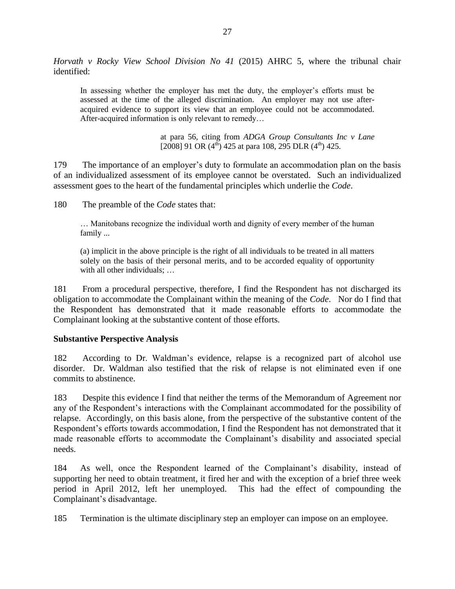*Horvath v Rocky View School Division No 41* (2015) AHRC 5, where the tribunal chair identified:

In assessing whether the employer has met the duty, the employer's efforts must be assessed at the time of the alleged discrimination. An employer may not use afteracquired evidence to support its view that an employee could not be accommodated. After-acquired information is only relevant to remedy…

> at para 56, citing from *ADGA Group Consultants Inc v Lane* [2008] 91 OR  $(4^{th})$  425 at para 108, 295 DLR  $(4^{th})$  425.

179 The importance of an employer's duty to formulate an accommodation plan on the basis of an individualized assessment of its employee cannot be overstated. Such an individualized assessment goes to the heart of the fundamental principles which underlie the *Code*.

180 The preamble of the *Code* states that:

… Manitobans recognize the individual worth and dignity of every member of the human family ...

(a) implicit in the above principle is the right of all individuals to be treated in all matters solely on the basis of their personal merits, and to be accorded equality of opportunity with all other individuals; ...

181 From a procedural perspective, therefore, I find the Respondent has not discharged its obligation to accommodate the Complainant within the meaning of the *Code*. Nor do I find that the Respondent has demonstrated that it made reasonable efforts to accommodate the Complainant looking at the substantive content of those efforts.

#### **Substantive Perspective Analysis**

182 According to Dr. Waldman's evidence, relapse is a recognized part of alcohol use disorder. Dr. Waldman also testified that the risk of relapse is not eliminated even if one commits to abstinence.

183 Despite this evidence I find that neither the terms of the Memorandum of Agreement nor any of the Respondent's interactions with the Complainant accommodated for the possibility of relapse. Accordingly, on this basis alone, from the perspective of the substantive content of the Respondent's efforts towards accommodation, I find the Respondent has not demonstrated that it made reasonable efforts to accommodate the Complainant's disability and associated special needs.

184 As well, once the Respondent learned of the Complainant's disability, instead of supporting her need to obtain treatment, it fired her and with the exception of a brief three week period in April 2012, left her unemployed. This had the effect of compounding the Complainant's disadvantage.

185 Termination is the ultimate disciplinary step an employer can impose on an employee.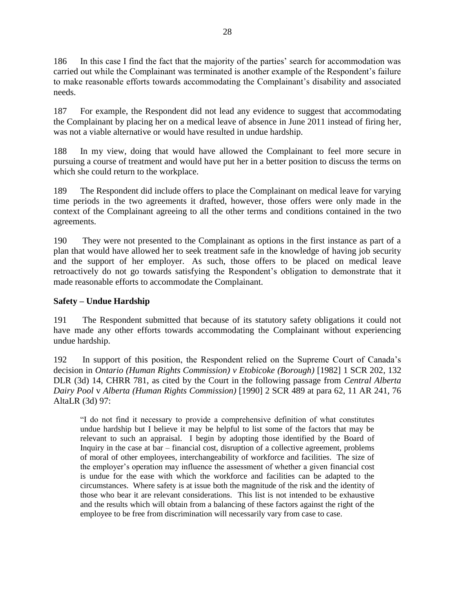186 In this case I find the fact that the majority of the parties' search for accommodation was carried out while the Complainant was terminated is another example of the Respondent's failure to make reasonable efforts towards accommodating the Complainant's disability and associated needs.

187 For example, the Respondent did not lead any evidence to suggest that accommodating the Complainant by placing her on a medical leave of absence in June 2011 instead of firing her, was not a viable alternative or would have resulted in undue hardship.

188 In my view, doing that would have allowed the Complainant to feel more secure in pursuing a course of treatment and would have put her in a better position to discuss the terms on which she could return to the workplace.

189 The Respondent did include offers to place the Complainant on medical leave for varying time periods in the two agreements it drafted, however, those offers were only made in the context of the Complainant agreeing to all the other terms and conditions contained in the two agreements.

190 They were not presented to the Complainant as options in the first instance as part of a plan that would have allowed her to seek treatment safe in the knowledge of having job security and the support of her employer. As such, those offers to be placed on medical leave retroactively do not go towards satisfying the Respondent's obligation to demonstrate that it made reasonable efforts to accommodate the Complainant.

# **Safety – Undue Hardship**

191 The Respondent submitted that because of its statutory safety obligations it could not have made any other efforts towards accommodating the Complainant without experiencing undue hardship.

192 In support of this position, the Respondent relied on the Supreme Court of Canada's decision in *Ontario (Human Rights Commission) v Etobicoke (Borough)* [1982] 1 SCR 202, 132 DLR (3d) 14, CHRR 781, as cited by the Court in the following passage from *Central Alberta Dairy Pool* v *Alberta (Human Rights Commission)* [1990] 2 SCR 489 at para 62, 11 AR 241, 76 AltaLR (3d) 97:

"I do not find it necessary to provide a comprehensive definition of what constitutes undue hardship but I believe it may be helpful to list some of the factors that may be relevant to such an appraisal. I begin by adopting those identified by the Board of Inquiry in the case at bar – financial cost, disruption of a collective agreement, problems of moral of other employees, interchangeability of workforce and facilities. The size of the employer's operation may influence the assessment of whether a given financial cost is undue for the ease with which the workforce and facilities can be adapted to the circumstances. Where safety is at issue both the magnitude of the risk and the identity of those who bear it are relevant considerations. This list is not intended to be exhaustive and the results which will obtain from a balancing of these factors against the right of the employee to be free from discrimination will necessarily vary from case to case.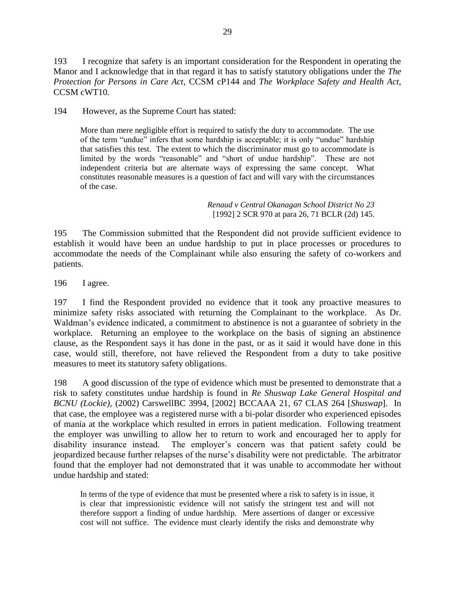193 I recognize that safety is an important consideration for the Respondent in operating the Manor and I acknowledge that in that regard it has to satisfy statutory obligations under the *The Protection for Persons in Care Act*, CCSM cP144 and *The Workplace Safety and Health Act*, CCSM cWT10.

194 However, as the Supreme Court has stated:

More than mere negligible effort is required to satisfy the duty to accommodate. The use of the term "undue" infers that some hardship is acceptable; it is only "undue" hardship that satisfies this test. The extent to which the discriminator must go to accommodate is limited by the words "reasonable" and "short of undue hardship". These are not independent criteria but are alternate ways of expressing the same concept. What constitutes reasonable measures is a question of fact and will vary with the circumstances of the case.

> *Renaud v Central Okanagan School District No 23*  [1992] 2 SCR 970 at para 26, 71 BCLR (2d) 145.

195 The Commission submitted that the Respondent did not provide sufficient evidence to establish it would have been an undue hardship to put in place processes or procedures to accommodate the needs of the Complainant while also ensuring the safety of co-workers and patients.

196 I agree.

197 I find the Respondent provided no evidence that it took any proactive measures to minimize safety risks associated with returning the Complainant to the workplace. As Dr. Waldman's evidence indicated, a commitment to abstinence is not a guarantee of sobriety in the workplace. Returning an employee to the workplace on the basis of signing an abstinence clause, as the Respondent says it has done in the past, or as it said it would have done in this case, would still, therefore, not have relieved the Respondent from a duty to take positive measures to meet its statutory safety obligations.

198 A good discussion of the type of evidence which must be presented to demonstrate that a risk to safety constitutes undue hardship is found in *Re Shuswap Lake General Hospital and BCNU (Lockie),* (2002) CarswellBC 3994, [2002] BCCAAA 21, 67 CLAS 264 [*Shuswap*]. In that case, the employee was a registered nurse with a bi-polar disorder who experienced episodes of mania at the workplace which resulted in errors in patient medication. Following treatment the employer was unwilling to allow her to return to work and encouraged her to apply for disability insurance instead. The employer's concern was that patient safety could be jeopardized because further relapses of the nurse's disability were not predictable. The arbitrator found that the employer had not demonstrated that it was unable to accommodate her without undue hardship and stated:

In terms of the type of evidence that must be presented where a risk to safety is in issue, it is clear that impressionistic evidence will not satisfy the stringent test and will not therefore support a finding of undue hardship. Mere assertions of danger or excessive cost will not suffice. The evidence must clearly identify the risks and demonstrate why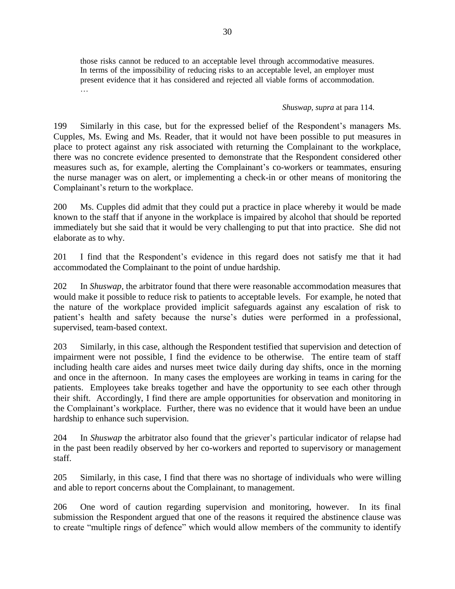those risks cannot be reduced to an acceptable level through accommodative measures. In terms of the impossibility of reducing risks to an acceptable level, an employer must present evidence that it has considered and rejected all viable forms of accommodation. …

#### *Shuswap, supra* at para 114.

199 Similarly in this case, but for the expressed belief of the Respondent's managers Ms. Cupples, Ms. Ewing and Ms. Reader, that it would not have been possible to put measures in place to protect against any risk associated with returning the Complainant to the workplace, there was no concrete evidence presented to demonstrate that the Respondent considered other measures such as, for example, alerting the Complainant's co-workers or teammates, ensuring the nurse manager was on alert, or implementing a check-in or other means of monitoring the Complainant's return to the workplace.

200 Ms. Cupples did admit that they could put a practice in place whereby it would be made known to the staff that if anyone in the workplace is impaired by alcohol that should be reported immediately but she said that it would be very challenging to put that into practice. She did not elaborate as to why.

201 I find that the Respondent's evidence in this regard does not satisfy me that it had accommodated the Complainant to the point of undue hardship.

202 In *Shuswap,* the arbitrator found that there were reasonable accommodation measures that would make it possible to reduce risk to patients to acceptable levels. For example, he noted that the nature of the workplace provided implicit safeguards against any escalation of risk to patient's health and safety because the nurse's duties were performed in a professional, supervised, team-based context.

203 Similarly, in this case, although the Respondent testified that supervision and detection of impairment were not possible, I find the evidence to be otherwise. The entire team of staff including health care aides and nurses meet twice daily during day shifts, once in the morning and once in the afternoon. In many cases the employees are working in teams in caring for the patients. Employees take breaks together and have the opportunity to see each other through their shift. Accordingly, I find there are ample opportunities for observation and monitoring in the Complainant's workplace. Further, there was no evidence that it would have been an undue hardship to enhance such supervision.

204 In *Shuswap* the arbitrator also found that the griever's particular indicator of relapse had in the past been readily observed by her co-workers and reported to supervisory or management staff.

205 Similarly, in this case, I find that there was no shortage of individuals who were willing and able to report concerns about the Complainant, to management.

206 One word of caution regarding supervision and monitoring, however. In its final submission the Respondent argued that one of the reasons it required the abstinence clause was to create "multiple rings of defence" which would allow members of the community to identify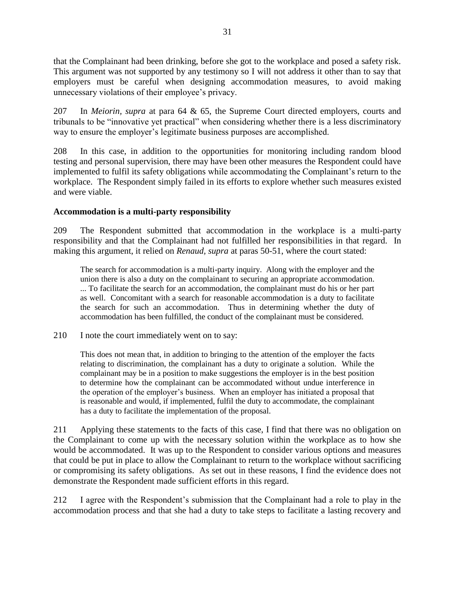that the Complainant had been drinking, before she got to the workplace and posed a safety risk. This argument was not supported by any testimony so I will not address it other than to say that employers must be careful when designing accommodation measures, to avoid making unnecessary violations of their employee's privacy.

207 In *Meiorin, supra* at para 64 & 65, the Supreme Court directed employers, courts and tribunals to be "innovative yet practical" when considering whether there is a less discriminatory way to ensure the employer's legitimate business purposes are accomplished.

208 In this case, in addition to the opportunities for monitoring including random blood testing and personal supervision, there may have been other measures the Respondent could have implemented to fulfil its safety obligations while accommodating the Complainant's return to the workplace. The Respondent simply failed in its efforts to explore whether such measures existed and were viable.

## **Accommodation is a multi-party responsibility**

209 The Respondent submitted that accommodation in the workplace is a multi-party responsibility and that the Complainant had not fulfilled her responsibilities in that regard. In making this argument, it relied on *Renaud, supra* at paras 50-51, where the court stated:

The search for accommodation is a multi-party inquiry. Along with the employer and the union there is also a duty on the complainant to securing an appropriate accommodation. ... To facilitate the search for an accommodation, the complainant must do his or her part as well. Concomitant with a search for reasonable accommodation is a duty to facilitate the search for such an accommodation. Thus in determining whether the duty of accommodation has been fulfilled, the conduct of the complainant must be considered.

210 I note the court immediately went on to say:

This does not mean that, in addition to bringing to the attention of the employer the facts relating to discrimination, the complainant has a duty to originate a solution. While the complainant may be in a position to make suggestions the employer is in the best position to determine how the complainant can be accommodated without undue interference in the operation of the employer's business. When an employer has initiated a proposal that is reasonable and would, if implemented, fulfil the duty to accommodate, the complainant has a duty to facilitate the implementation of the proposal.

211 Applying these statements to the facts of this case, I find that there was no obligation on the Complainant to come up with the necessary solution within the workplace as to how she would be accommodated. It was up to the Respondent to consider various options and measures that could be put in place to allow the Complainant to return to the workplace without sacrificing or compromising its safety obligations. As set out in these reasons, I find the evidence does not demonstrate the Respondent made sufficient efforts in this regard.

212 I agree with the Respondent's submission that the Complainant had a role to play in the accommodation process and that she had a duty to take steps to facilitate a lasting recovery and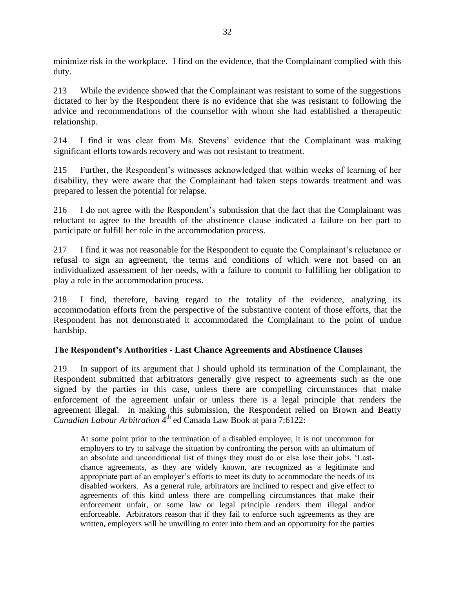minimize risk in the workplace. I find on the evidence, that the Complainant complied with this duty.

213 While the evidence showed that the Complainant was resistant to some of the suggestions dictated to her by the Respondent there is no evidence that she was resistant to following the advice and recommendations of the counsellor with whom she had established a therapeutic relationship.

214 I find it was clear from Ms. Stevens' evidence that the Complainant was making significant efforts towards recovery and was not resistant to treatment.

215 Further, the Respondent's witnesses acknowledged that within weeks of learning of her disability, they were aware that the Complainant had taken steps towards treatment and was prepared to lessen the potential for relapse.

216 I do not agree with the Respondent's submission that the fact that the Complainant was reluctant to agree to the breadth of the abstinence clause indicated a failure on her part to participate or fulfill her role in the accommodation process.

217 I find it was not reasonable for the Respondent to equate the Complainant's reluctance or refusal to sign an agreement, the terms and conditions of which were not based on an individualized assessment of her needs, with a failure to commit to fulfilling her obligation to play a role in the accommodation process.

218 I find, therefore, having regard to the totality of the evidence, analyzing its accommodation efforts from the perspective of the substantive content of those efforts, that the Respondent has not demonstrated it accommodated the Complainant to the point of undue hardship.

# **The Respondent's Authorities - Last Chance Agreements and Abstinence Clauses**

219 In support of its argument that I should uphold its termination of the Complainant, the Respondent submitted that arbitrators generally give respect to agreements such as the one signed by the parties in this case, unless there are compelling circumstances that make enforcement of the agreement unfair or unless there is a legal principle that renders the agreement illegal. In making this submission, the Respondent relied on Brown and Beatty Canadian Labour Arbitration <sup>4th</sup> ed Canada Law Book at para 7:6122:

At some point prior to the termination of a disabled employee, it is not uncommon for employers to try to salvage the situation by confronting the person with an ultimatum of an absolute and unconditional list of things they must do or else lose their jobs. 'Lastchance agreements, as they are widely known, are recognized as a legitimate and appropriate part of an employer's efforts to meet its duty to accommodate the needs of its disabled workers. As a general rule, arbitrators are inclined to respect and give effect to agreements of this kind unless there are compelling circumstances that make their enforcement unfair, or some law or legal principle renders them illegal and/or enforceable. Arbitrators reason that if they fail to enforce such agreements as they are written, employers will be unwilling to enter into them and an opportunity for the parties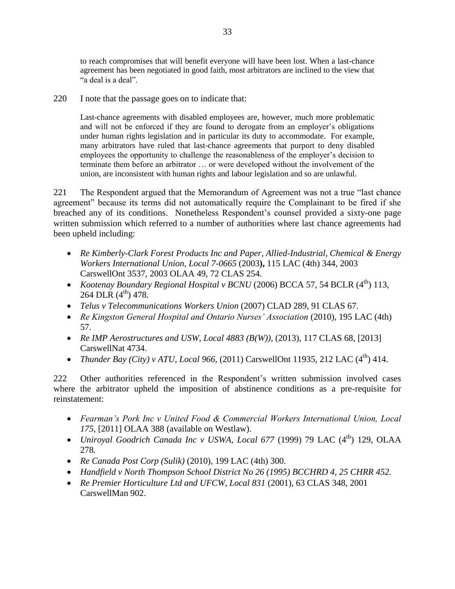to reach compromises that will benefit everyone will have been lost. When a last-chance agreement has been negotiated in good faith, most arbitrators are inclined to the view that "a deal is a deal".

220 I note that the passage goes on to indicate that:

Last-chance agreements with disabled employees are, however, much more problematic and will not be enforced if they are found to derogate from an employer's obligations under human rights legislation and in particular its duty to accommodate. For example, many arbitrators have ruled that last-chance agreements that purport to deny disabled employees the opportunity to challenge the reasonableness of the employer's decision to terminate them before an arbitrator … or were developed without the involvement of the union, are inconsistent with human rights and labour legislation and so are unlawful.

221 The Respondent argued that the Memorandum of Agreement was not a true "last chance agreement" because its terms did not automatically require the Complainant to be fired if she breached any of its conditions. Nonetheless Respondent's counsel provided a sixty-one page written submission which referred to a number of authorities where last chance agreements had been upheld including:

- *Re Kimberly-Clark Forest Products Inc and Paper, Allied-Industrial, Chemical & Energy Workers International Union, Local 7-0665* (2003**),** 115 LAC (4th) 344, 2003 CarswellOnt 3537, 2003 OLAA 49, 72 CLAS 254.
- *Kootenay Boundary Regional Hospital v BCNU* (2006) BCCA 57, 54 BCLR (4<sup>th</sup>) 113, 264 DLR  $(4^{th})$  478.
- *Telus v Telecommunications Workers Union* (2007) CLAD 289, 91 CLAS 67.
- Re Kingston General Hospital and Ontario Nurses' Association (2010), 195 LAC (4th) 57.
- *Re IMP Aerostructures and USW, Local 4883 (B(W)),* (2013), 117 CLAS 68, [2013] CarswellNat 4734.
- *Thunder Bay (City) v ATU, Local 966, (2011)* CarswellOnt 11935, 212 LAC  $(4^{th})$  414.

222 Other authorities referenced in the Respondent's written submission involved cases where the arbitrator upheld the imposition of abstinence conditions as a pre-requisite for reinstatement:

- *Fearman's Pork Inc v United Food & Commercial Workers International Union, Local 175,* [2011] OLAA 388 (available on Westlaw).
- *Uniroyal Goodrich Canada Inc v USWA, Local 677* (1999) 79 LAC (4<sup>th</sup>) 129, OLAA 278*.*
- *Re Canada Post Corp (Sulik)* (2010), 199 LAC (4th) 300.
- *Handfield v North Thompson School District No 26 (1995) BCCHRD 4, 25 CHRR 452.*
- *Re Premier Horticulture Ltd and UFCW, Local 831* (2001), 63 CLAS 348, 2001 CarswellMan 902.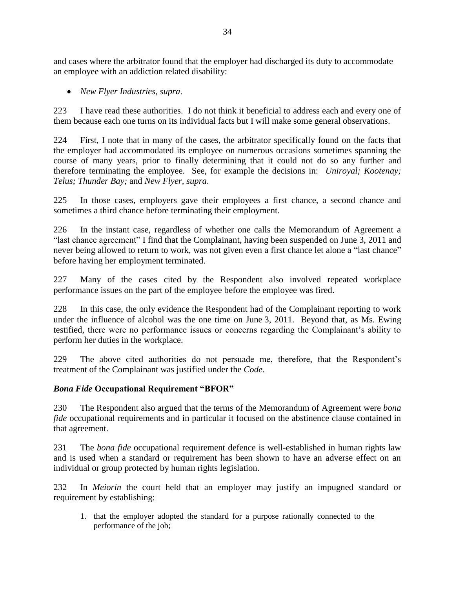and cases where the arbitrator found that the employer had discharged its duty to accommodate an employee with an addiction related disability:

*New Flyer Industries, supra*.

223 I have read these authorities. I do not think it beneficial to address each and every one of them because each one turns on its individual facts but I will make some general observations.

224 First, I note that in many of the cases, the arbitrator specifically found on the facts that the employer had accommodated its employee on numerous occasions sometimes spanning the course of many years, prior to finally determining that it could not do so any further and therefore terminating the employee. See, for example the decisions in: *Uniroyal; Kootenay; Telus; Thunder Bay;* and *New Flyer, supra*.

225 In those cases, employers gave their employees a first chance, a second chance and sometimes a third chance before terminating their employment.

226 In the instant case, regardless of whether one calls the Memorandum of Agreement a "last chance agreement" I find that the Complainant, having been suspended on June 3, 2011 and never being allowed to return to work, was not given even a first chance let alone a "last chance" before having her employment terminated.

227 Many of the cases cited by the Respondent also involved repeated workplace performance issues on the part of the employee before the employee was fired.

228 In this case, the only evidence the Respondent had of the Complainant reporting to work under the influence of alcohol was the one time on June 3, 2011. Beyond that, as Ms. Ewing testified, there were no performance issues or concerns regarding the Complainant's ability to perform her duties in the workplace.

229 The above cited authorities do not persuade me, therefore, that the Respondent's treatment of the Complainant was justified under the *Code*.

### *Bona Fide* **Occupational Requirement "BFOR"**

230 The Respondent also argued that the terms of the Memorandum of Agreement were *bona fide* occupational requirements and in particular it focused on the abstinence clause contained in that agreement.

231 The *bona fide* occupational requirement defence is well-established in human rights law and is used when a standard or requirement has been shown to have an adverse effect on an individual or group protected by human rights legislation.

232 In *Meiorin* the court held that an employer may justify an impugned standard or requirement by establishing:

1. that the employer adopted the standard for a purpose rationally connected to the performance of the job;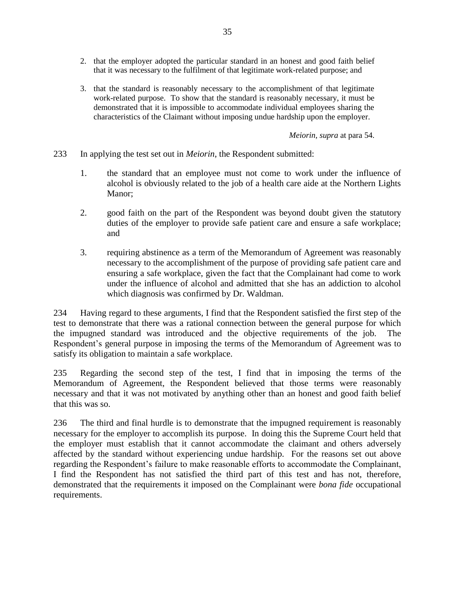- 2. that the employer adopted the particular standard in an honest and good faith belief that it was necessary to the fulfilment of that legitimate work-related purpose; and
- 3. that the standard is reasonably necessary to the accomplishment of that legitimate work-related purpose. To show that the standard is reasonably necessary, it must be demonstrated that it is impossible to accommodate individual employees sharing the characteristics of the Claimant without imposing undue hardship upon the employer.

*Meiorin, supra* at para 54.

233 In applying the test set out in *Meiorin*, the Respondent submitted:

- 1. the standard that an employee must not come to work under the influence of alcohol is obviously related to the job of a health care aide at the Northern Lights Manor;
- 2. good faith on the part of the Respondent was beyond doubt given the statutory duties of the employer to provide safe patient care and ensure a safe workplace; and
- 3. requiring abstinence as a term of the Memorandum of Agreement was reasonably necessary to the accomplishment of the purpose of providing safe patient care and ensuring a safe workplace, given the fact that the Complainant had come to work under the influence of alcohol and admitted that she has an addiction to alcohol which diagnosis was confirmed by Dr. Waldman.

234 Having regard to these arguments, I find that the Respondent satisfied the first step of the test to demonstrate that there was a rational connection between the general purpose for which the impugned standard was introduced and the objective requirements of the job. The Respondent's general purpose in imposing the terms of the Memorandum of Agreement was to satisfy its obligation to maintain a safe workplace.

235 Regarding the second step of the test, I find that in imposing the terms of the Memorandum of Agreement, the Respondent believed that those terms were reasonably necessary and that it was not motivated by anything other than an honest and good faith belief that this was so.

236 The third and final hurdle is to demonstrate that the impugned requirement is reasonably necessary for the employer to accomplish its purpose. In doing this the Supreme Court held that the employer must establish that it cannot accommodate the claimant and others adversely affected by the standard without experiencing undue hardship. For the reasons set out above regarding the Respondent's failure to make reasonable efforts to accommodate the Complainant, I find the Respondent has not satisfied the third part of this test and has not, therefore, demonstrated that the requirements it imposed on the Complainant were *bona fide* occupational requirements.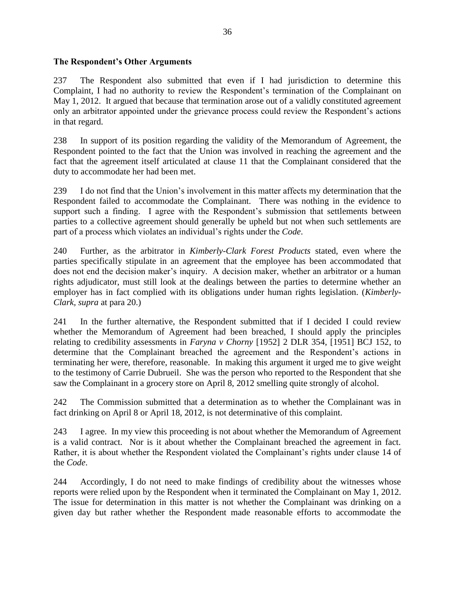## **The Respondent's Other Arguments**

237 The Respondent also submitted that even if I had jurisdiction to determine this Complaint, I had no authority to review the Respondent's termination of the Complainant on May 1, 2012. It argued that because that termination arose out of a validly constituted agreement only an arbitrator appointed under the grievance process could review the Respondent's actions in that regard.

238 In support of its position regarding the validity of the Memorandum of Agreement, the Respondent pointed to the fact that the Union was involved in reaching the agreement and the fact that the agreement itself articulated at clause 11 that the Complainant considered that the duty to accommodate her had been met.

239 I do not find that the Union's involvement in this matter affects my determination that the Respondent failed to accommodate the Complainant. There was nothing in the evidence to support such a finding. I agree with the Respondent's submission that settlements between parties to a collective agreement should generally be upheld but not when such settlements are part of a process which violates an individual's rights under the *Code*.

240 Further, as the arbitrator in *Kimberly-Clark Forest Products* stated, even where the parties specifically stipulate in an agreement that the employee has been accommodated that does not end the decision maker's inquiry. A decision maker, whether an arbitrator or a human rights adjudicator, must still look at the dealings between the parties to determine whether an employer has in fact complied with its obligations under human rights legislation. (*Kimberly-Clark, supra* at para 20.)

241 In the further alternative, the Respondent submitted that if I decided I could review whether the Memorandum of Agreement had been breached, I should apply the principles relating to credibility assessments in *Faryna v Chorny* [1952] 2 DLR 354, [1951] BCJ 152, to determine that the Complainant breached the agreement and the Respondent's actions in terminating her were, therefore, reasonable. In making this argument it urged me to give weight to the testimony of Carrie Dubrueil. She was the person who reported to the Respondent that she saw the Complainant in a grocery store on April 8, 2012 smelling quite strongly of alcohol.

242 The Commission submitted that a determination as to whether the Complainant was in fact drinking on April 8 or April 18, 2012, is not determinative of this complaint.

243 I agree. In my view this proceeding is not about whether the Memorandum of Agreement is a valid contract. Nor is it about whether the Complainant breached the agreement in fact. Rather, it is about whether the Respondent violated the Complainant's rights under clause 14 of the *Code*.

244 Accordingly, I do not need to make findings of credibility about the witnesses whose reports were relied upon by the Respondent when it terminated the Complainant on May 1, 2012. The issue for determination in this matter is not whether the Complainant was drinking on a given day but rather whether the Respondent made reasonable efforts to accommodate the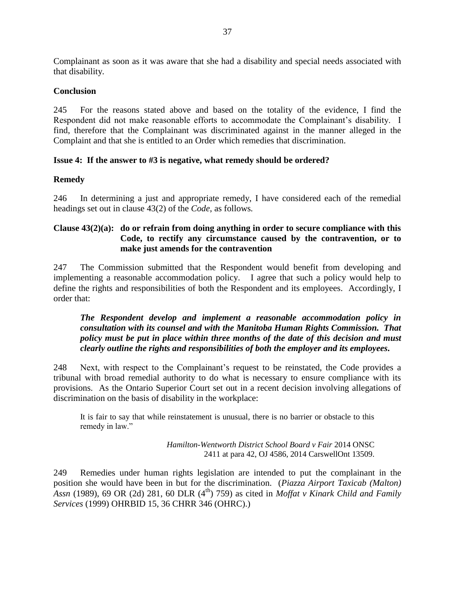Complainant as soon as it was aware that she had a disability and special needs associated with that disability.

### **Conclusion**

245 For the reasons stated above and based on the totality of the evidence, I find the Respondent did not make reasonable efforts to accommodate the Complainant's disability. I find, therefore that the Complainant was discriminated against in the manner alleged in the Complaint and that she is entitled to an Order which remedies that discrimination.

## **Issue 4: If the answer to #3 is negative, what remedy should be ordered?**

### **Remedy**

246 In determining a just and appropriate remedy, I have considered each of the remedial headings set out in clause 43(2) of the *Code*, as follows*.*

## **Clause 43(2)(a): do or refrain from doing anything in order to secure compliance with this Code, to rectify any circumstance caused by the contravention, or to make just amends for the contravention**

247 The Commission submitted that the Respondent would benefit from developing and implementing a reasonable accommodation policy. I agree that such a policy would help to define the rights and responsibilities of both the Respondent and its employees. Accordingly, I order that:

## *The Respondent develop and implement a reasonable accommodation policy in consultation with its counsel and with the Manitoba Human Rights Commission. That policy must be put in place within three months of the date of this decision and must clearly outline the rights and responsibilities of both the employer and its employees.*

248 Next, with respect to the Complainant's request to be reinstated, the Code provides a tribunal with broad remedial authority to do what is necessary to ensure compliance with its provisions. As the Ontario Superior Court set out in a recent decision involving allegations of discrimination on the basis of disability in the workplace:

It is fair to say that while reinstatement is unusual, there is no barrier or obstacle to this remedy in law."

> *Hamilton-Wentworth District School Board v Fair* 2014 ONSC 2411 at para 42, OJ 4586, 2014 CarswellOnt 13509.

249 Remedies under human rights legislation are intended to put the complainant in the position she would have been in but for the discrimination. (*Piazza Airport Taxicab (Malton) Assn* (1989), 69 OR (2d) 281, 60 DLR (4<sup>th</sup>) 759) as cited in *Moffat v Kinark Child and Family Services* (1999) OHRBID 15, 36 CHRR 346 (OHRC).)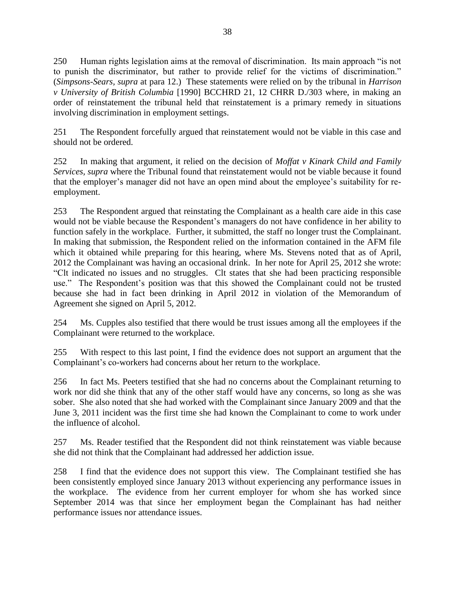250 Human rights legislation aims at the removal of discrimination. Its main approach "is not to punish the discriminator, but rather to provide relief for the victims of discrimination." (*Simpsons-Sears, supra* at para 12.) These statements were relied on by the tribunal in *Harrison v University of British Columbia* [1990] BCCHRD 21, 12 CHRR D./303 where, in making an order of reinstatement the tribunal held that reinstatement is a primary remedy in situations involving discrimination in employment settings.

251 The Respondent forcefully argued that reinstatement would not be viable in this case and should not be ordered.

252 In making that argument, it relied on the decision of *Moffat v Kinark Child and Family Services, supra* where the Tribunal found that reinstatement would not be viable because it found that the employer's manager did not have an open mind about the employee's suitability for reemployment.

253 The Respondent argued that reinstating the Complainant as a health care aide in this case would not be viable because the Respondent's managers do not have confidence in her ability to function safely in the workplace. Further, it submitted, the staff no longer trust the Complainant. In making that submission, the Respondent relied on the information contained in the AFM file which it obtained while preparing for this hearing, where Ms. Stevens noted that as of April, 2012 the Complainant was having an occasional drink. In her note for April 25, 2012 she wrote: "Clt indicated no issues and no struggles. Clt states that she had been practicing responsible use." The Respondent's position was that this showed the Complainant could not be trusted because she had in fact been drinking in April 2012 in violation of the Memorandum of Agreement she signed on April 5, 2012.

254 Ms. Cupples also testified that there would be trust issues among all the employees if the Complainant were returned to the workplace.

255 With respect to this last point, I find the evidence does not support an argument that the Complainant's co-workers had concerns about her return to the workplace.

256 In fact Ms. Peeters testified that she had no concerns about the Complainant returning to work nor did she think that any of the other staff would have any concerns, so long as she was sober. She also noted that she had worked with the Complainant since January 2009 and that the June 3, 2011 incident was the first time she had known the Complainant to come to work under the influence of alcohol.

257 Ms. Reader testified that the Respondent did not think reinstatement was viable because she did not think that the Complainant had addressed her addiction issue.

258 I find that the evidence does not support this view. The Complainant testified she has been consistently employed since January 2013 without experiencing any performance issues in the workplace. The evidence from her current employer for whom she has worked since September 2014 was that since her employment began the Complainant has had neither performance issues nor attendance issues.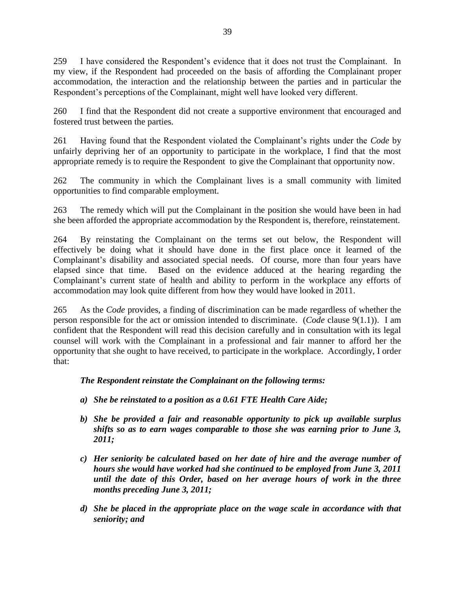259 I have considered the Respondent's evidence that it does not trust the Complainant. In my view, if the Respondent had proceeded on the basis of affording the Complainant proper accommodation, the interaction and the relationship between the parties and in particular the Respondent's perceptions of the Complainant, might well have looked very different.

260 I find that the Respondent did not create a supportive environment that encouraged and fostered trust between the parties.

261 Having found that the Respondent violated the Complainant's rights under the *Code* by unfairly depriving her of an opportunity to participate in the workplace, I find that the most appropriate remedy is to require the Respondent to give the Complainant that opportunity now.

262 The community in which the Complainant lives is a small community with limited opportunities to find comparable employment.

263 The remedy which will put the Complainant in the position she would have been in had she been afforded the appropriate accommodation by the Respondent is, therefore, reinstatement.

264 By reinstating the Complainant on the terms set out below, the Respondent will effectively be doing what it should have done in the first place once it learned of the Complainant's disability and associated special needs. Of course, more than four years have elapsed since that time. Based on the evidence adduced at the hearing regarding the Complainant's current state of health and ability to perform in the workplace any efforts of accommodation may look quite different from how they would have looked in 2011.

265 As the *Code* provides, a finding of discrimination can be made regardless of whether the person responsible for the act or omission intended to discriminate. (*Code* clause 9(1.1)). I am confident that the Respondent will read this decision carefully and in consultation with its legal counsel will work with the Complainant in a professional and fair manner to afford her the opportunity that she ought to have received, to participate in the workplace. Accordingly, I order that:

# *The Respondent reinstate the Complainant on the following terms:*

- *a) She be reinstated to a position as a 0.61 FTE Health Care Aide;*
- *b) She be provided a fair and reasonable opportunity to pick up available surplus shifts so as to earn wages comparable to those she was earning prior to June 3, 2011;*
- *c) Her seniority be calculated based on her date of hire and the average number of hours she would have worked had she continued to be employed from June 3, 2011 until the date of this Order, based on her average hours of work in the three months preceding June 3, 2011;*
- *d) She be placed in the appropriate place on the wage scale in accordance with that seniority; and*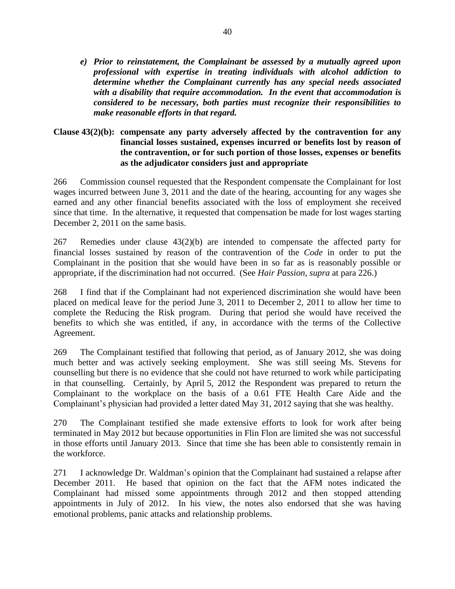*e) Prior to reinstatement, the Complainant be assessed by a mutually agreed upon professional with expertise in treating individuals with alcohol addiction to determine whether the Complainant currently has any special needs associated with a disability that require accommodation. In the event that accommodation is considered to be necessary, both parties must recognize their responsibilities to make reasonable efforts in that regard.*

## **Clause 43(2)(b): compensate any party adversely affected by the contravention for any financial losses sustained, expenses incurred or benefits lost by reason of the contravention, or for such portion of those losses, expenses or benefits as the adjudicator considers just and appropriate**

266 Commission counsel requested that the Respondent compensate the Complainant for lost wages incurred between June 3, 2011 and the date of the hearing, accounting for any wages she earned and any other financial benefits associated with the loss of employment she received since that time. In the alternative, it requested that compensation be made for lost wages starting December 2, 2011 on the same basis.

267 Remedies under clause 43(2)(b) are intended to compensate the affected party for financial losses sustained by reason of the contravention of the *Code* in order to put the Complainant in the position that she would have been in so far as is reasonably possible or appropriate, if the discrimination had not occurred. (See *Hair Passion, supra* at para 226.)

268 I find that if the Complainant had not experienced discrimination she would have been placed on medical leave for the period June 3, 2011 to December 2, 2011 to allow her time to complete the Reducing the Risk program. During that period she would have received the benefits to which she was entitled, if any, in accordance with the terms of the Collective Agreement.

269 The Complainant testified that following that period, as of January 2012, she was doing much better and was actively seeking employment. She was still seeing Ms. Stevens for counselling but there is no evidence that she could not have returned to work while participating in that counselling. Certainly, by April 5, 2012 the Respondent was prepared to return the Complainant to the workplace on the basis of a 0.61 FTE Health Care Aide and the Complainant's physician had provided a letter dated May 31, 2012 saying that she was healthy.

270 The Complainant testified she made extensive efforts to look for work after being terminated in May 2012 but because opportunities in Flin Flon are limited she was not successful in those efforts until January 2013. Since that time she has been able to consistently remain in the workforce.

271 I acknowledge Dr. Waldman's opinion that the Complainant had sustained a relapse after December 2011. He based that opinion on the fact that the AFM notes indicated the Complainant had missed some appointments through 2012 and then stopped attending appointments in July of 2012. In his view, the notes also endorsed that she was having emotional problems, panic attacks and relationship problems.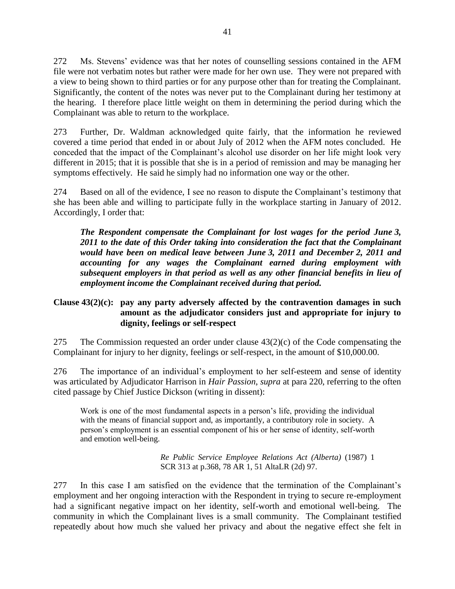272 Ms. Stevens' evidence was that her notes of counselling sessions contained in the AFM file were not verbatim notes but rather were made for her own use. They were not prepared with a view to being shown to third parties or for any purpose other than for treating the Complainant. Significantly, the content of the notes was never put to the Complainant during her testimony at the hearing. I therefore place little weight on them in determining the period during which the Complainant was able to return to the workplace.

273 Further, Dr. Waldman acknowledged quite fairly, that the information he reviewed covered a time period that ended in or about July of 2012 when the AFM notes concluded. He conceded that the impact of the Complainant's alcohol use disorder on her life might look very different in 2015; that it is possible that she is in a period of remission and may be managing her symptoms effectively. He said he simply had no information one way or the other.

274 Based on all of the evidence, I see no reason to dispute the Complainant's testimony that she has been able and willing to participate fully in the workplace starting in January of 2012. Accordingly, I order that:

*The Respondent compensate the Complainant for lost wages for the period June 3, 2011 to the date of this Order taking into consideration the fact that the Complainant would have been on medical leave between June 3, 2011 and December 2, 2011 and accounting for any wages the Complainant earned during employment with subsequent employers in that period as well as any other financial benefits in lieu of employment income the Complainant received during that period.*

## **Clause 43(2)(c): pay any party adversely affected by the contravention damages in such amount as the adjudicator considers just and appropriate for injury to dignity, feelings or self-respect**

275 The Commission requested an order under clause 43(2)(c) of the Code compensating the Complainant for injury to her dignity, feelings or self-respect, in the amount of \$10,000.00.

276 The importance of an individual's employment to her self-esteem and sense of identity was articulated by Adjudicator Harrison in *Hair Passion*, *supra* at para 220, referring to the often cited passage by Chief Justice Dickson (writing in dissent):

Work is one of the most fundamental aspects in a person's life, providing the individual with the means of financial support and, as importantly, a contributory role in society. A person's employment is an essential component of his or her sense of identity, self-worth and emotion well-being.

> *Re Public Service Employee Relations Act (Alberta)* (1987) 1 SCR 313 at p.368, 78 AR 1, 51 AltaLR (2d) 97.

277 In this case I am satisfied on the evidence that the termination of the Complainant's employment and her ongoing interaction with the Respondent in trying to secure re-employment had a significant negative impact on her identity, self-worth and emotional well-being. The community in which the Complainant lives is a small community. The Complainant testified repeatedly about how much she valued her privacy and about the negative effect she felt in